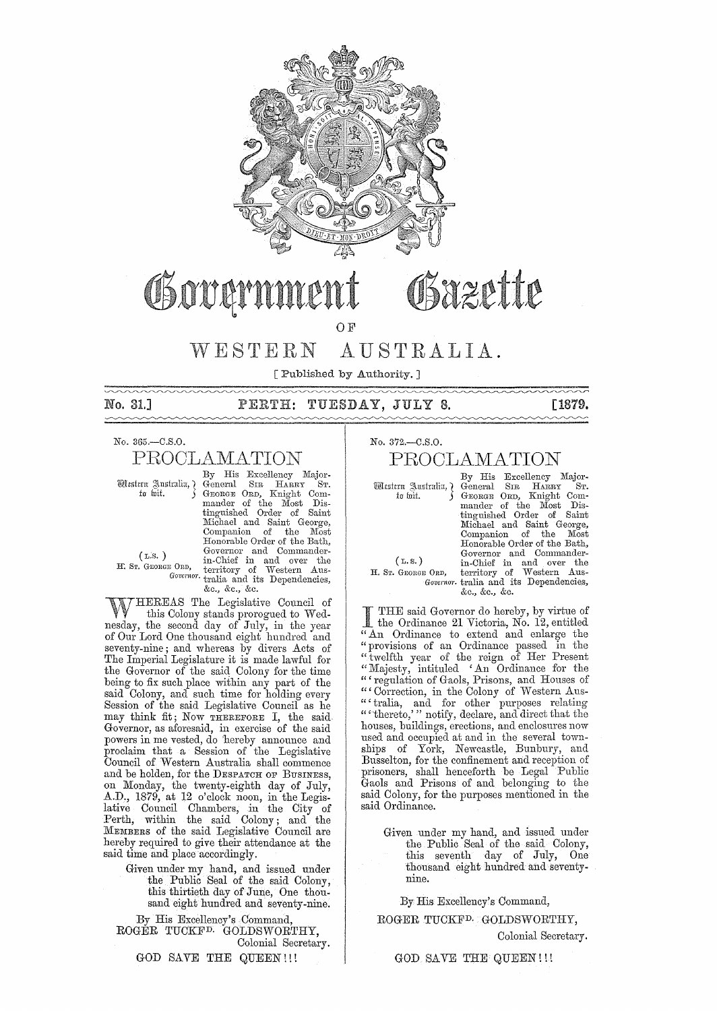

# Bazette Govan

OF

# WESTERN AUSTRALIA.

[Published by Authority. ]

 $\sim\sim\sim$ 

No. 31.] TUESDAY, JULY 8. [1879.

No. 365.-C.S.O.

# PROOLAMATION

By His Excellency Major-<br>
Majortu for gradient Comtu like General SIR HARRY ST.<br>
tu loit. Surgent Comtungualer of the Most Dis-<br>
mander of the Most Dis-<br>
tinguished Order of Saint Michael and Saint George, Companion of the Most<br>Honorable Order of the Bath, (L.S.) Governor and Commander-<br>
If. Sr. GEORGE ORD, territory of Western Aus-*Governor.* tralia and its Dependencies, &c., &c., &c.

WHEREAS The Legislative Council of this Colony stands prorogued to Wednesday, the second day of July, in the year of Our Lord One thousand eight hundred and seventy-nine; and whereas by divers Acts of The Imperial Legislature it is made lawful for the Governor of the said Colony for the time being to fix such place within any part of the said Colony, and such time for holding every Session of the said Legislative Council as he may think fit; Now THEREFORE I, the said-Governor, as aforesaid, in exercise of the said powers in me vested, do 'hereby announce and proclaim that a Session of the Legislative Council of Western Australia shall commence and be holden, for the DESPATCH OF BUSINESS, on Monday, the twenty-eighth day of July, A.D., 1879, at 12 o'clock noon, in the Legislative Council Chambers, in the City of Perth, within the said Colony; and the MEMBERS of the said Legislative Council are hereby required to give their attendance at the said time and place accordingly.

> Given under my hand, and issued under the Public Seal of the said Colony, this thirtieth day of June, One thousand eight hundred and seventy-nine.

By His Excellency's Command, ROGER TUCKFD. GOLDSWORTHY, Colonial Secretary.

GOD SAVE THE QUEEN!!!

No. 372.-C.S.O.

# PROOLAMATION

By His Excellency Majorll(iXt~ltrn g\.u"tralill,} General SIR HARRY ST. to wit.  $\left.\begin{array}{ll} \text{G} \text{ no near On,} & \text{Knight Com-} \\ \text{mander of the Most Dis-} \\ \text{tinguished Order of Saint} \end{array}\right.$ tinguished Order of Saint<br>Michael and Saint George, Companion of the Most<br>Honorable Order of the Bath, Governor and Commander- (L. S. ) in-Chief in and over the H. Sr. GEORGE ORD, territory of Western Aus-<br>*Governor*. tralia and its Dependencies, &c., &c., &c.

I THE said Governor do hereby, by virtue of the Ordinance 21 Victoria, No. 12, entitled "An Ordinance to extend and enlarge the "provisions of an Ordinance passed in the "twelfth year of the reign of Her Present "Majesty, intituled 'An Ordinance for the " regulation of Gaols, Prisons, and Houses of " Correction, in the Colony of Western Aus-" tralia, and for other purposes relating "'thereto,' " notify, declare, and direct that the houses, buildings, erections, and enclosures now used and occupied at and in the several townships of York, Newcastle, Bunbury, and Busselton, for the confinement and reception of prisoners, shall henceforth be Legal Public Gaols and Prisons of and belonging to the said Colony, for the purposes mentioned in the said Ordinance.

Given under my hand, and issued under the Public Seal of the said Colony, this seventh day of July, One thousand eight hundred and seventynine.

By His Excellency's Command,

ROGER TUCKF<sup>D.</sup> GOLDSWORTHY,

Colonial Secretary.

GOD SAVE THE QUEEN! !!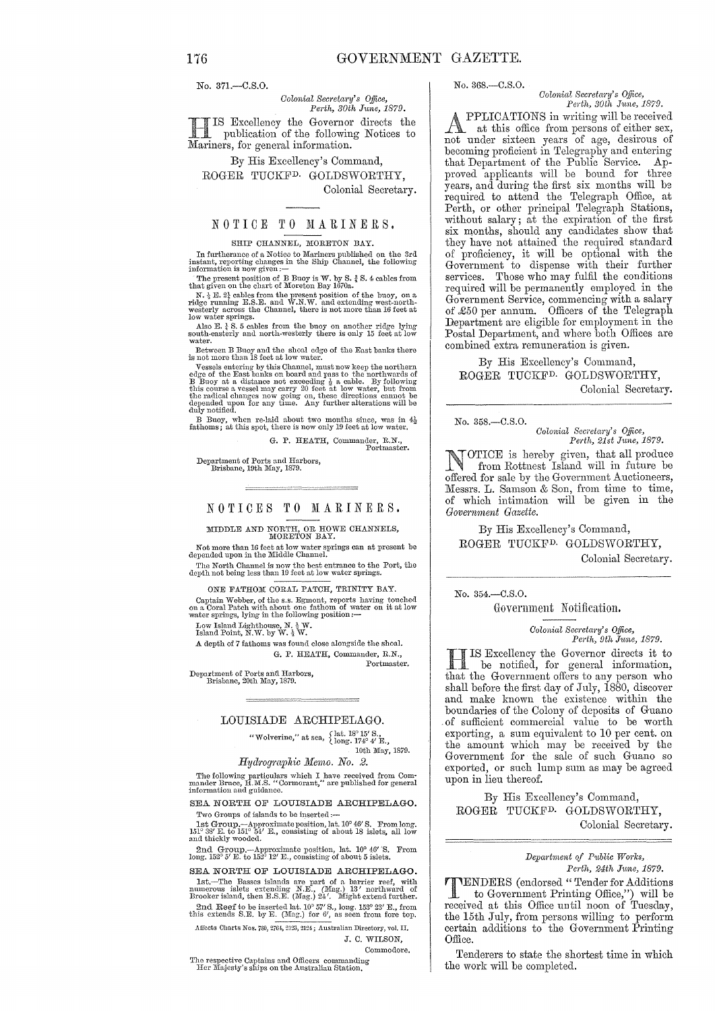No. 371.-0.8.0.

*Colonial Secretary's Office, Perth, 30th June, 1879.*  -lIS Excellency the Governor directs the

**III** IS Excellency the Governor<br>
Mariners, for general information. publication of the following Notices to

By His Excellency's Command, ROGER TUCKFD. GOLDSWORTHY, Colonial Secretary.

## NOTICE TO MARINERS.

### SHIP CHANNEL, MORETON BAY.

In furtherance of a Notice to Mariners published on the 3rd instant, reporting changes in the Ship Channel, the following information is now given: $-$ 

The present position of B Buoy is W. by S.  $\frac{3}{4}$  S. 4 cables from<br>that given on the chart of Moreton Bay 1670a.<br>N.  $\frac{3}{4}$  E. 22 cables from the present position of the buoy, on a<br>ridge running E.S.E. and W.N.W. and

Also E.  $\frac{1}{4}$  S. 5 cables from the buoy on another ridge lying south-easterly and north-westerly there is only 15 feet at low water.

Between B Buoy and the shoal edge of the East hanks there is not more than 18 feet at low water.

Vessels entering by this Channel, must now keep the northern<br>edge of the East banks on board and pass to the northwards of<br>B Buoy at a distance not exceeding  $\frac{1}{2}$  a cable. By following<br>this course a vessel may carry depended upon for any time. Any further alterations will be duly notified.

B Buoy, when re-laid about two months since, was in  $4\frac{1}{2}$  fathoms; at this spot, there is now only 19 feet at low water.

G. P. HEATH, Commander, R.N., Portmaster.

Department of Ports and Harhors, Brishane, 10th lIIay, 1879.

÷.

NOTICES TO MARINERS.

MIDDLE AND NORTH, OR HOWE CHANNELS, MORETON BAY.

Not more than 16 feet at low water springs can at present be depended upon in the Middle Channel.

The North Channel is now the best entrance to the Port, the depth not being less than 10 feet at low water springs.

ONE FATHOM CORAL PATCH, TRINITY BAY. Captain Webber, of the s.s. Egmont, reports having touched on a Coral Patch with about one fathom of water on it at low water springs, lying in the following position:--

Low Island Lighthouse, N.  $\frac{1}{2}$  W.<br>Island Point, N.W. by W.  $\frac{1}{2}$  W.

A depth of 7 fathoms was found close alongside the shoal. G. P. HEATH, Commander, R.N., Portmaster.

Department of Ports and Harbors,<br>Brisbane, 20th May, 1879.

## LOUISIADE ARCHIPELAGO.

"Wolverine," at sea,  $\begin{array}{c} \{ \text{lat. } 18^{\circ} \, 15' \, \text{S.}, \ \{ \text{long. } 174^{\circ} \, 4' \, \text{E.}, \ \end{array}$ 10th May, 1879.

### *Hydrographic Memo. No. 2.*

The following particulars which I have received from Com-<br>mander Bruce, H.M.S. "Cormorant," are published for general<br>information and guidance.

SEA NORTH OF LOUISIADE ARCHIPELAGO. Two Groups of islands to be inserted :-

1st Group.-Approximate position, lat. 10<sup>o</sup> 46' S. From long. 151<sup>o</sup> 38' E. to 151<sup>o</sup> 54' E., consisting of about 18 islets, all low and thickly wooded.

2nd Group.--Approximate position, lat.  $10^{\circ}$   $46'$  'S. From long.  $152^{\circ}$   $5'$  E. to  $152^{\circ}$   $12'$  E., consisting of about 5 islets.

SEA NORTH OF LOUISIADE ARCHIPELAGO. lst.—The Basses islands are part of a barrier reef, with numerous islets extending N.E., (Mag.)  $13'$  northward of Brooker island, then E.S.E. (Mag.)  $24'$ . Might extend further. 2nd Reef to be inserted lat.  $10^{\circ}$  57' S., long. 153° 23' E., from this extends S.E. by E. (Mag.) for 6', as seen from fore top.

Affects Charts Nos. 780, 2764, 2123, 2124; Australian Directory, vol. II. d. C. WILSON,

Commodore.

respective Captains and Officers commanding<br>er Majesty's ships on the Australian Station.

No. 368.-0.8.0.

*Colonial Secretary's Office,* 

*Perth, 30th June, 1879.*<br>PPLICATIONS in writing will be received. **APPLICATIONS** in writing will be received<br>
at this office from persons of either sex,<br>
and under giving reave of age designs of not under sixteen years of age, desirous of becoming proficient in Telegraphy and entering that Department of the Public Service. Approved applicants will be bound for three years, and during the first six months will be required to attend the Telegraph Office, at Perth, or other principal Telegraph Stations, without salary; at the expiration of the first six months, should any candidates show that they have not attained the required standard of proficiency, it will be optional with the Government to dispense with their further services. Those who may fulfil the conditions required will be permanently employed in the Government Service, commencing with a salary of £50 per annum. Officers of the Telegraph Department are eligible for employment in the Postal Department, and where both Offices are combined extra remuneration is given.

By His Excellency's Command, ROGER TUCKFD. GOLDSWORTHY, Colonial Secretary.

No. 358.-C.S.O.

*Colonial Secretary's Office,*<br>Perth, 21st June, 1879.

NOTICE is hereby given, that all produce<br>from Rottnest Island will in future be<br>effected for sels by the Coronwoort Angliancers offered for sale bv the Government Auctioneers, Messrs. L. Samson & Son, from time to time, of which intimation will be given in the *Government Gazette.* 

By His Excellency's Command, ROGER TUCKFD. GOLDSWORTHY, Colonial Secretary.

No. 354.-C.S.O.

Government Notification.

*Colonial SCC)'etMY's Office, Peyth, 9th June, 1879.* 

HIS Excellency the Governor directs it to be notified, for general information, that the Government offers to any person who shall before the first day of July, 1880, discover and make known the existence within the boundaries of the Colony of deposits of Guano of sufficient commercial value to be worth exporting, a sum equivalent to 10 per cent. on the amount which may be received by the Government for the sale of such Guano so exported, or such lump sum as may be agreed upon in lieu thereof.

By His Excellency's Command, ROGER TUCKFD. GOLDSWORTHY, Colonial Secretary.

### $Department of Public Works,$ *Perth, 24th June, 1879.*

**THENDERS** (endorsed "Tender for Additions<br>to Government Printing Office.") will be to Government Printing Office,") will be received at this Office until noon of Tuesday, the 15th July, from persons willing to perform certain additions to the Government Printing Office.

Tenderers to state the shortest time in which the work will be completed.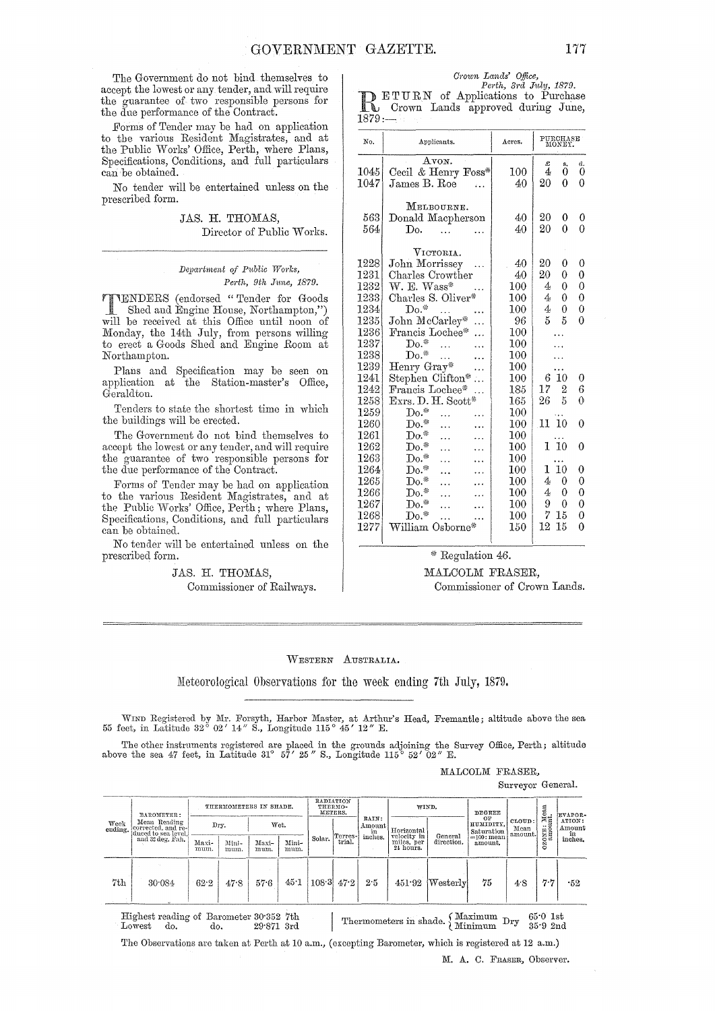The Government do not bind themselves to accept the lowest or any tender, and will require the guarantee of two responsible persons for the due performance of the Contract.

.Forms of Tender may be had on application to the various Resident Magistrates, and at the Public Works' Office, Perth, where Plans, Specifications, Conditions, and full particulars can be obtained.

No tender will be entertained unless on the prescribed form.

> JAS. H. THOMAS, Director of Public Works.

### *Del)a)'bnent of P1,blic Works, Perth, 9th Jmw, 1879.*

**IENDERS** (endorsed "Tender for Goods Shed and Engine House, Northampton,") will be received at this Office until noon of Monday, the 14th July, from persons willing to erect a Goods Shed and Engine Room at Northampton.

Plans and Specification may be seen on application at the Station-master's Office, Geraldtou.

Tenders to state the shortest time in which the buildings will be erected.

The Government do not bind themselves to accept the lowest or any tender, and will require the guarantee of two responsible persons for the due performance of the Contract.

Forms of Tender may be had on application to the various Resident Magistrates, and at the Public Works' Office, Perth; where Plans, Specifications, Conditions, and full particulars can be obtained.

No tender will be entertained unless on the prescribed form.

### JAS. H. THOMAS,

Commissioner of Railways.

*Crown Lands' Office,*<br> *Perth, 3rd July, 1879.*<br> **RETURN** of Applications to Purchase<br>
Crown Lands approved during June,  $1879...$ 

| No.  | Applicants.         | Acres.  | PURCHASE<br>MONEY. |                |  |
|------|---------------------|---------|--------------------|----------------|--|
|      | Avon.               |         | £<br>s.            | đ.             |  |
| 1045 | Cecil & Henry Foss* | 100     | 4<br>0             | 0              |  |
| 1047 | James B. Roe        | 40      | 20<br>0            | 0              |  |
|      | MELBOURNE.          |         |                    |                |  |
| 563  | Donald Macpherson   | 40.     | 20<br>0            | 0              |  |
| 564  | Do.                 | 40      | 20<br>0            | 0              |  |
|      | VICTORIA.           |         |                    |                |  |
| 1228 | John Morrissey      | 40      | 20<br>0            | 0              |  |
| 1231 | Charles Crowther    | 40      | 20<br>0            | 0              |  |
| 1232 | $W.E. Was*$         | $100\,$ | 0<br>4             | 0              |  |
| 1233 | Charles S. Oliver*  | 100     | 4<br>0             | $\overline{0}$ |  |
| 1234 | $Do.*$              | $100\,$ | 4<br>0             | 0              |  |
| 1235 | John McCarley*<br>. | 96      | 5<br>5             | 0              |  |
| 1236 | Francis Lochee*     | 100     |                    |                |  |
| 1237 | $Do.*$              | 100     |                    |                |  |
| 1238 | $Do.*$              | 100     |                    |                |  |
| 1239 | Henry Gray*         | 100     |                    |                |  |
| 1241 | Stephen Clifton*    | $100\,$ | 10<br>6            | 0              |  |
| 1242 | Francis Lochee*     | 185     | 17<br>2            | 6              |  |
| 1258 | Exrs. D. H. Scott*  | 165     | 26<br>5            | $\theta$       |  |
| 1259 | ${\rm Do}.^*$       | 100     |                    |                |  |
| 1260 | ${\rm Do}.^*$       | $100\,$ | 10<br>11           | $\Omega$       |  |
| 1261 | $Do.*$              | 100     |                    |                |  |
| 1262 | $\mathrm{Do}.^*$    | 100     | 1 10               | 0              |  |
| 1263 | $Do.*$              | $100\,$ |                    |                |  |
| 1264 | $Do.*$              | 100     | 10<br>1.           | 0              |  |
| 1265 | $\mathrm{Do}.^*$    | 100     | 4<br>0             | 0              |  |
| 1266 | $Do.*$              | 100     | 4<br>0             | $\theta$       |  |
| 1267 | $Do.*$              | 100     | 9<br>0             | $\theta$       |  |
| 1268 | $Do.*$              | $100\,$ | 7<br>15            | 0              |  |
| 1277 | William Osborne*    | 150     | 12<br>15           | 0              |  |
|      |                     |         |                    |                |  |

### \* Regulation 46.

## MALCOLM FRASER, Commissioner of Crown Lands.

WESTERN AUSTRALIA.

Meteorological Observations for the week ending 7th July, 1879.

WIND Registered by Mr. Forsyth, Harbor Master, at Arthur's Head, Fremantle; altitude above the sea 55 feet, in Latitude 32° 02' 14" S., Longitude 115° 45' 12" E.

The other instruments registered are placed in the grounds adjoining the Survey Office, Perth; altitude above the sea 47 feet, in Latitude 31° 57' 25" S., Longitude 115° 52' 02" E.

MALCOLM FRASER,

Surveyor GeneraL

| BAROMETER:       |                                                           | THERMOMETERS IN SHADE. |               |               |               | RADIATION<br>THERMO-<br>METERS. |                     |                       | WIND.                                  |                       | DEGREE                        |                           | $_{\rm nt.}^{\rm Mean}$      | EVAPOR-          |
|------------------|-----------------------------------------------------------|------------------------|---------------|---------------|---------------|---------------------------------|---------------------|-----------------------|----------------------------------------|-----------------------|-------------------------------|---------------------------|------------------------------|------------------|
| Week<br>ending.  | Mean Reading<br>corrected, and re-<br>duced to sea level. | Dry.                   |               | Wet.          |               |                                 |                     | RAIN:<br>Amount<br>ìn | Horizontal                             |                       | OF<br>HUMIDITY,<br>Saturation | CLOUD:<br>Mean<br>amount. | $\cdots$<br>ONE <sub>0</sub> | ATION:<br>Amount |
| and 32 deg. Fah. |                                                           | Maxi-<br>mum.          | Mini-<br>mum. | Maxi-<br>mum. | Mini-<br>mum. | Solar.                          | [Terres-]<br>trial. | inches.               | velocity in<br>miles, per<br>24 hours. | General<br>direction. | $=100$ : mean<br>amount.      |                           | Ń<br>ö                       | in<br>inches.    |
| 7th              | 30.084                                                    | 62.2                   | 47.8          | 57.6          | 45.1          | 108.3                           | 47.2                | 2.5                   | 451.92                                 | ${\rm Westerlv}$      | 75                            | 4.8                       | $7 - 7$                      | -52              |
|                  | Highest reading of Barometer 30.352 7th<br>do.<br>Lowest  | do.                    |               | $29.871$ 3rd  |               |                                 |                     |                       | Thermometers in shade.                 |                       | Maximum<br>Minimum            | Dry                       | $650$ 1st<br>35.92nd         |                  |

Highest reading of Barometer 30.352 7th<br>Lowest do. do. 29.871 3rd 29.871 3rd

'1'he Observations are taken at Perth at 10 a.m., (excepting Barometer, which is registered at 12 a.m.)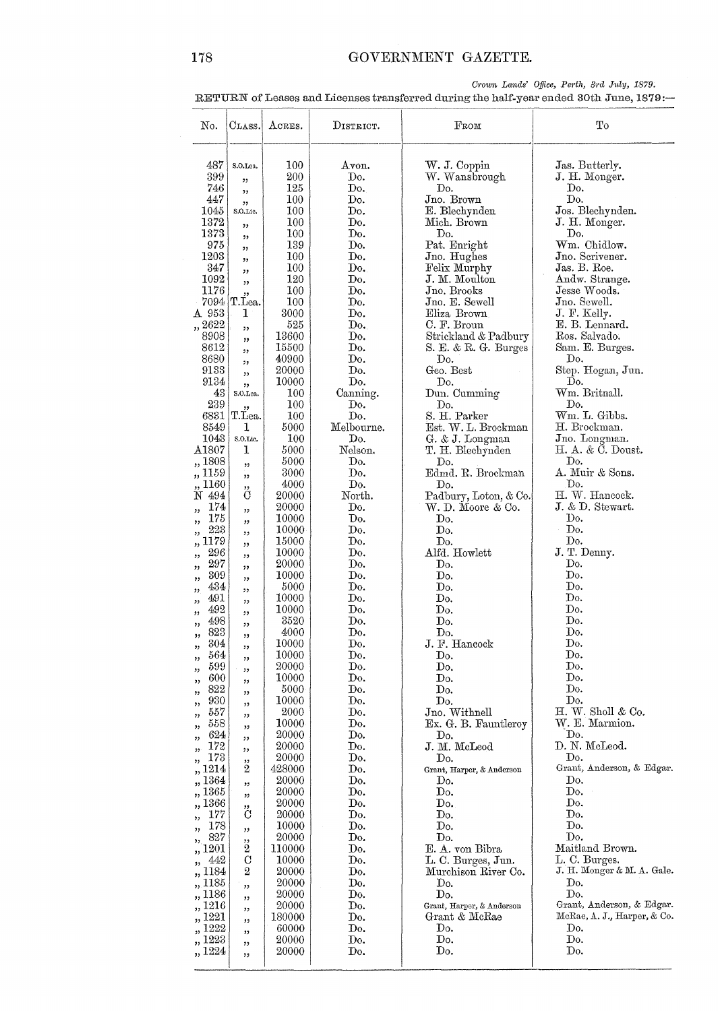Crown Lands' Office, Perth, 3rd July, 1879.

RETURN of Leases and Licenses transferred during the half-year ended 30th June, 1879:-

| No.                       | $_{\rm CLASS.}$          | ACRES.          | DISTRICT.               | $_{\rm From}$                             | Tо                              |
|---------------------------|--------------------------|-----------------|-------------------------|-------------------------------------------|---------------------------------|
| 487                       | S.O.Lea.                 | 100             | Avon.                   | W. J. Coppin                              | Jas. Butterly.                  |
| 399                       | "                        | 200             | Do.                     | W. Wansbrough                             | J. H. Monger.                   |
| 746                       | ,,                       | 125             | Do.                     | Do.                                       | Dо.<br>Do.                      |
| 447<br>1045               | , ,<br>S.O.Lic.          | 100<br>100      | Do.<br>Do.              | Jno. Brown<br>E. Blechynden               | Jos. Blechynden.                |
| 1372                      | ,,                       | 100             | Do.                     | Mich. Brown                               | J. H. Monger.                   |
| 1373                      | , ,                      | 100             | Do.                     | Do.                                       | Do.                             |
| 975                       | ,,                       | 139             | Do.                     | Pat. Enright                              | Wm. Chidlow.<br>Jno. Scrivener. |
| 1203<br>347               | ,,                       | 100<br>100      | $\mathbf{Do}$ .<br>Do.  | Jno. Hughes<br>Felix Murphy               | Jas. B. Roe.                    |
| 1092                      | "<br>, 2                 | 120             | Do.                     | J. M. Moulton                             | Andw. Strange.                  |
| 1176                      | ,                        | 100             | Do.                     | $J$ no. Brooks                            | Jesse Woods.                    |
| 7094<br>A 953             | T.Lea.<br>1              | 100<br>3000     | Do.<br>Do.              | $Jno.$ E. Sewell<br>Eliza Brown           | Jno. Sewell.<br>J. F. Kelly.    |
| ,, 2622                   | , 2, 3                   | 525             | Do.                     | C. F. Broun                               | E. B. Lennard.                  |
| 8908                      | , ,                      | 13600           | Do.                     | Strickland & Padbury                      | Ros. Salvado.                   |
| 8612                      | ,,                       | 15500           | Do.                     | S. E. & R. G. Burges                      | Sam. E. Burges.                 |
| 8680<br>9133              | ,,                       | 40900<br>20000  | Do.<br>Do.              | Do.<br>Geo. Best                          | Do.<br>Step. Hogan, Jun.        |
| 9134                      | ,,<br>,,                 | 10000           | Do.                     | Do.                                       | Do.                             |
| 43                        | S.O.Lea.                 | 100             | Canning.                | Dun. Cumming                              | Wm. Britnall.                   |
| 239                       | ,,                       | 100             | Do.                     | Do.                                       | Do.                             |
| 6831<br>8549              | T.Lea.<br>1              | 100<br>5000     | Do.<br>Melbourne.       | S. H. Parker<br>Est. W. L. Brockman       | Wm. L. Gibbs.<br>H. Brockman.   |
| 1043                      | S.O.Lic.                 | 100             | Do.                     | G. & J. Longman                           | Jno. Longman.                   |
| $\Delta1807$              | 1                        | 5000            | Nelson.                 | T. H. Blechynden                          | $H. A. \& C. Doust.$            |
| ,, 1808                   | ,,                       | 5000            | Do.<br>Do.              | Do.                                       | Do.<br>A. Muir & Sons.          |
| ,, 1159<br>,, 1160        | ,,                       | 3000<br>4000    | Do.                     | Edmd. R. Brockman<br>Do.                  | Do.                             |
| N 494                     | "<br>$\overline{C}$      | 20000           | North.                  | Padbury, Loton, & Co.                     | H. W. Hancock.                  |
| 174<br>,,                 | ,,                       | 20000           | Do.                     | W. D. Moore & Co.                         | J. & D. Stewart.                |
| 175<br>,,<br>223          | , 2, 3                   | 10000<br>10000  | Do.<br>Do.              | Do.<br>${\mathop{\mathrm{Do}}\nolimits}.$ | Do.<br>Do.                      |
| ,,<br>1179                | ,,                       | 15000           | Do.                     | Do.                                       | Do.                             |
| ,,<br>296<br>,,           | ,,<br>,,                 | 10000           | Do.                     | Alfd. Howlett                             | J. T. Denny.                    |
| 297<br>,,                 | ,,                       | 20000           | Do.                     | Do.                                       | Do.                             |
| 309<br>,,<br>434          | ,,                       | 10000<br>5000   | Do.<br>Do.              | Do.<br>$\operatorname{Do}$ .              | Do.<br>Do.                      |
| ,,<br>491<br>,,           | , 2<br>, ,               | 10000           | Do.                     | Do.                                       | Do.                             |
| 492<br>,,                 | ,,                       | 10000           | Do.                     | Do.                                       | Do.                             |
| 498<br>,,                 | , ,                      | 3520            | Do.                     | Do.                                       | Do.                             |
| 823<br>,,<br>304          | ,,                       | 4000<br>10000   | Do.<br>Do.              | Do.<br>J. F. Hancock                      | Do.<br>Do.                      |
| ,<br>564<br>,,            | ,,<br>,,                 | 10000           | Do.                     | ${\rm Do.}$                               | Do.                             |
| 599<br>,,                 | ,,                       | 20000           | Do.                     | Do.                                       | Do.                             |
| 600<br>,,<br>822          | , 2, 3                   | 10000<br>5000   | Do.<br>Do.              | Do.<br>$\operatorname{Do}$ .              | Do.<br>Do.                      |
| ,,<br>930                 | , 2, 3                   | 10000           | Do.                     | Do.                                       | Do.                             |
| ,,<br>557<br>, 2, 3       | , 2<br>, ,               | 2000            | Do.                     | Jno. Withnell                             | $H.$ W. Sholl & Co.             |
| 558<br>,,                 | , 2                      | 10000           | $\mathop{\mathrm{Doc}}$ | Ex. G. B. Fauntleroy                      | W. E. Marmion.                  |
| 624<br>, 2<br>172         | , ,                      | 20000<br>20000  | Do.<br>Do.              | $\operatorname{Do}$ .<br>J. M. McLeod     | Do.<br>D. N. McLeod.            |
| 22<br>173<br>,,           | ,,<br>,,                 | 20000           | Do.                     | Do.                                       | Do.                             |
| ,, 1214                   | 2                        | 428000          | Do.                     | Grant, Harper, & Anderson                 | Grant, Anderson, & Edgar.       |
| ,, 1364<br>,, 1365        | , 1                      | 20000<br>20000  | Do.<br>Do.              | Do.<br>${\rm Do.}$                        | Do.<br>Do.                      |
| 1366                      | ,,<br>,,                 | 20000           | Do.                     | Do.                                       | Do.                             |
| 177<br>, 1                | $\overline{C}$           | 20000           | Do.                     | Do.                                       | Do.                             |
| 178<br>,,                 | ,,                       | 10000           | Do.                     | $\mathbf{D}$ <sub>0</sub> .               | Do.                             |
| 827<br>$^{22}$<br>,, 1201 | ,,<br>$\overline{2}$     | 20000<br>110000 | Do.<br>Do.              | Do.<br>E. A. von Bibra                    | Do.<br>Maitland Brown.          |
| 442<br>,,                 | $\mathcal{C}$            | 10000           | Do.                     | L. C. Burges, Jun.                        | L. C. Burges.                   |
| ,, 1184                   | $\boldsymbol{2}$         | 20000           | Do.                     | Murchison River Co.                       | J. H. Monger & M. A. Gale.      |
| ,, 1185                   | ,,                       | 20000           | Do.                     | Do.                                       | Do.<br>Do.                      |
| ,, 1186<br>,, 1216        | , ,                      | 20000<br>20000  | Do.<br>Do.              | Do.<br>Grant, Harper, & Anderson          | Grant, Anderson, & Edgar.       |
| 1221<br>,                 | , ,<br>$^{\prime\prime}$ | 180000          | Do.                     | Grant & McRae                             | McRae, A. J., Harper, & Co.     |
| 1222                      | ,,                       | 60000           | Do.                     | Do.                                       | Do.                             |
| 1223<br>,, 1224           | , 2, 3                   | 20000<br>20000  | Do.<br>Do.              | Do.<br>Do.                                | Do.<br>Do.                      |
|                           | ,,                       |                 |                         |                                           |                                 |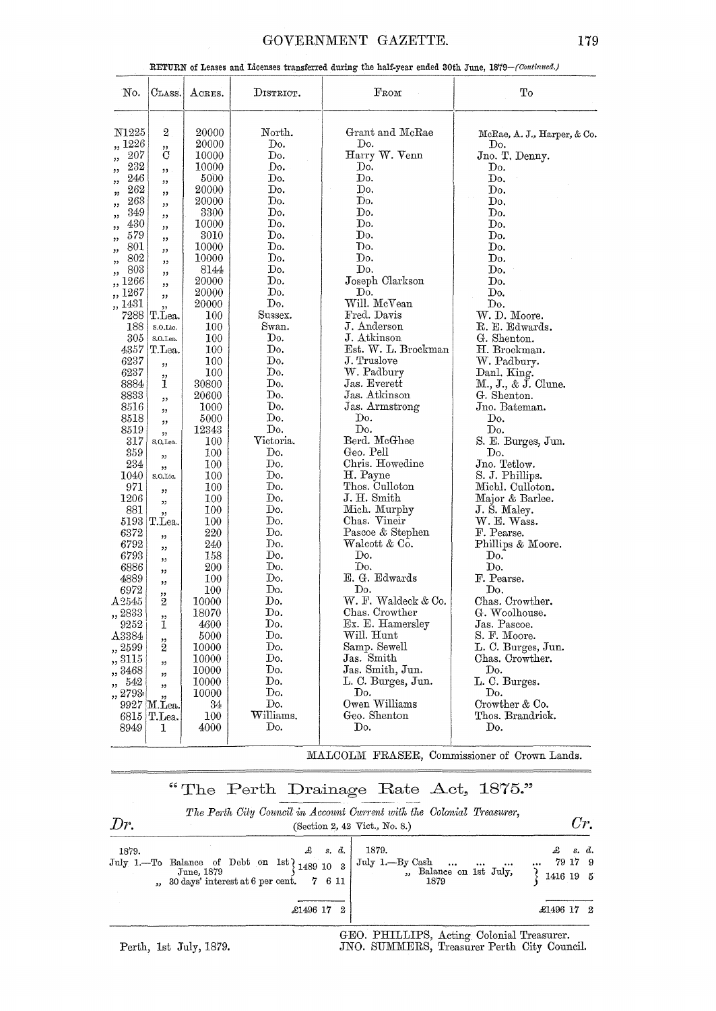## GOVERNMENT GAZETTE. 179

|  | RETURN of Leases and Licenses transferred during the half-year ended 30th June, 1879-(Continued.) |
|--|---------------------------------------------------------------------------------------------------|
|  |                                                                                                   |

| No.             | $\rm C\scriptstyle{LASS.}$ | $_{\rm ACRES.}$ | DISTRICT.               | FROM                       | To                                  |
|-----------------|----------------------------|-----------------|-------------------------|----------------------------|-------------------------------------|
| N1225           | $\boldsymbol{2}$           | 20000           | $\operatorname{North.}$ | Grant and McRae            |                                     |
| 1226            |                            | 20000           | Do.                     | Do.                        | McRae, A. J., Harper, & Co.<br>Do.  |
| 207             | ,,<br>С                    | 10000           | Do.                     | Harry W. Venn              | Jno. T. Denny.                      |
| ,,<br>232       |                            | 10000           | Do.                     | Do.                        | Do.                                 |
| ,,<br>246       | , ,                        | 5000            | Do.                     | Do.                        | Do.                                 |
| ,,<br>$^{262}$  | ,,                         | 20000           | Do.                     | Do.                        | Do.                                 |
| ,,<br>263       | ,,                         | 20000           | Do.                     | Do.                        | Do.                                 |
| ,,<br>349       | ,,<br>,,                   | 3300            | Do.                     | Do.                        | Do.                                 |
| ,,<br>430<br>,, | ,,                         | 10000           | Do.                     | Do.                        | Do.                                 |
| 579<br>,,       | ,,                         | 3010            | Do.                     | Do.                        | Do.                                 |
| 801<br>,,       | ,,                         | 10000           | Do.                     | Do.                        | Do.                                 |
| 802<br>,,       | , 2, 3                     | 10000           | $\operatorname{Do}$ .   | Do.                        | Do.                                 |
| 803<br>,,       | ,,                         | 8144            | Do.                     | Do.                        | Do.                                 |
| 266             | ,,                         | 20000           | Do.                     | Joseph Clarkson            | Do.                                 |
| 1267<br>, ,     | ,                          | 20000           | Do.                     | Do.                        | Do.                                 |
| ,, 1431         | ,,                         | 20000           | Do.                     | Will. McVean               | Do.                                 |
| 7288            | T.Lea.                     | 100             | Sussex.                 | Fred. Davis                | W. D. Moore.                        |
| 188             | S.O.Lic.                   | 100             | Swan.                   | J. Anderson                | R. E. Edwards.                      |
| 305             | S.O.Lea.                   | 100             | Do.                     | J. Atkinson                | G. Shenton.                         |
| 4357            | T.Lea.                     | 100             | Do.                     | Est. W. L. Brockman        | H. Brockman.                        |
| 6237            | ,,                         | 100             | Do.                     | J. Truslove                | W. Padbury.                         |
| 6237            | ,,                         | 100             | Do.                     | W. Padbury                 | Danl. King.                         |
| 8884            | 1                          | 30800           | Do.                     | Jas. Everett               | M., J., & J. Clune.                 |
| 8833            | , ,                        | 20600           | Do.                     | Jas. Atkinson              | G. Shenton.                         |
| 8516            | ,,                         | 1000            | Do.                     | Jas. Armstrong             | Jno. Bateman.                       |
| 8518            | ,,                         | 5000            | Do.                     | Do.                        | Do.                                 |
| 8519            | $\overline{\phantom{a}}$   | 12343           | Do.                     | Do.                        | Do.                                 |
| 317             | S.O.Lea.                   | 100             | Victoria.               | Berd. McGhee               | S. E. Burges, Jun.                  |
| 359             | ,,                         | 100             | Do.<br>Do.              | Geo. Pell                  | Do.                                 |
| 234             | ,,                         | 100             | Do.                     | Chris. Howedine            | Jno. Tetlow.                        |
| 1040<br>971     | S.O.Lic.                   | 100<br>100      | Do.                     | H. Payne<br>Thos. Culloton | S. J. Phillips.<br>Michl. Culloton. |
| 1206            | ,,                         | 100             | Do.                     | J. H. Smith                | Major & Barlee.                     |
| 881             | ,,                         | 100             | Do.                     | Mich. Murphy               | J. S. Maley.                        |
| 5193            | ,,<br>T.Lea.               | 100             | Do.                     | Chas. Vineir               | $\rm W.\ E.\ Wass.$                 |
| 6372            |                            | 220             | Do.                     | Pascoe & Stephen           | F. Pearse.                          |
| 6792            | ,,                         | 240             | Do.                     | Walcott & Co.              | Phillips & Moore.                   |
| 6793            | "                          | 158             | Do.                     | Do.                        | Do.                                 |
| 6886            | ,,                         | 200             | Do.                     | Do.                        | Do.                                 |
| 4889            | ,,                         | $100\,$         | Do.                     | E. G. Edwards              | F. Pearse.                          |
| 6972            | ,,                         | 100             | Do.                     | Do.                        | Do.                                 |
| $\rm A2545$     | ,,<br>$\mathbf{2}$         | 10000           | Do.                     | W. F. Waldeck & Co.        | Chas. Crowther.                     |
| ,, 2833         |                            | 18070           | Do.                     | Chas. Crowther             | G. Woolhouse.                       |
| 9252            | ,,<br>1                    | 4600            | Do.                     | Ex. E. Hamersley           | Jas. Pascoe.                        |
| A3384           |                            | 5000            | Do.                     | Will. Hunt                 | S. F. Moore.                        |
| ,, 2599         | $\ddot{2}$                 | 10000           | Do.                     | Samp. Sewell               | L. C. Burges, Jun.                  |
| ,, 3115         | ,,                         | 10000           | Do.                     | Jas. Smith                 | Chas. Crowther.                     |
| ,, 3468         | ,,                         | 10000           | Do.                     | Jas. Smith, Jun.           | Do.                                 |
| ,, 542          | "                          | 10000           | Do.                     | L. C. Burges, Jun.         | L. C. Burges.                       |
| ,, 2793         | ,,                         | 10000           | Do.                     | Do.                        | Do.                                 |
| 9927            | M.Lea.                     | 34              | Do.                     | Owen Williams              | Crowther & Co.                      |
|                 | 6815 T.Lea.                | 100             | Williams.               | Geo. Shenton               | Thos. Brandrick.                    |
| 8949            | ı                          | 4000            | Do.                     | Do.                        | Do.                                 |
|                 |                            |                 |                         |                            |                                     |

MALCOLM FRASER, Commissioner of Crown Lands.

# "The Perth Drainage Rate  $\Delta$ ct, 1875."

| Dr.   |                                                                                                                                             | The Perth City Council in Account Current with the Colonial Treasurer,<br>(Section 2, 42 Vict., No. 8.) | Cr                                             |
|-------|---------------------------------------------------------------------------------------------------------------------------------------------|---------------------------------------------------------------------------------------------------------|------------------------------------------------|
| 1879. | $\mathcal{L}$ s.d.<br>July 1.-To Balance of Debt on 1st $1489$ 10 3<br>June, 1879<br>$, 30 \text{ days}'$ interest at 6 per cent.<br>7 6 11 | 1879.<br>July 1.-By Cash<br>$\sim 1000$ km $^{-1}$<br>1879                                              | £<br>s. d.<br>79 17 9<br>$\cdots$<br>1416 19 5 |
|       | £1496 17 2                                                                                                                                  |                                                                                                         | £1496 17 2                                     |

Perth, 1st July, 1879.

GEO. PHILLIPS, Acting Colonial Treasurer. JNO. SUMMERS, Treasurer Perth City Council.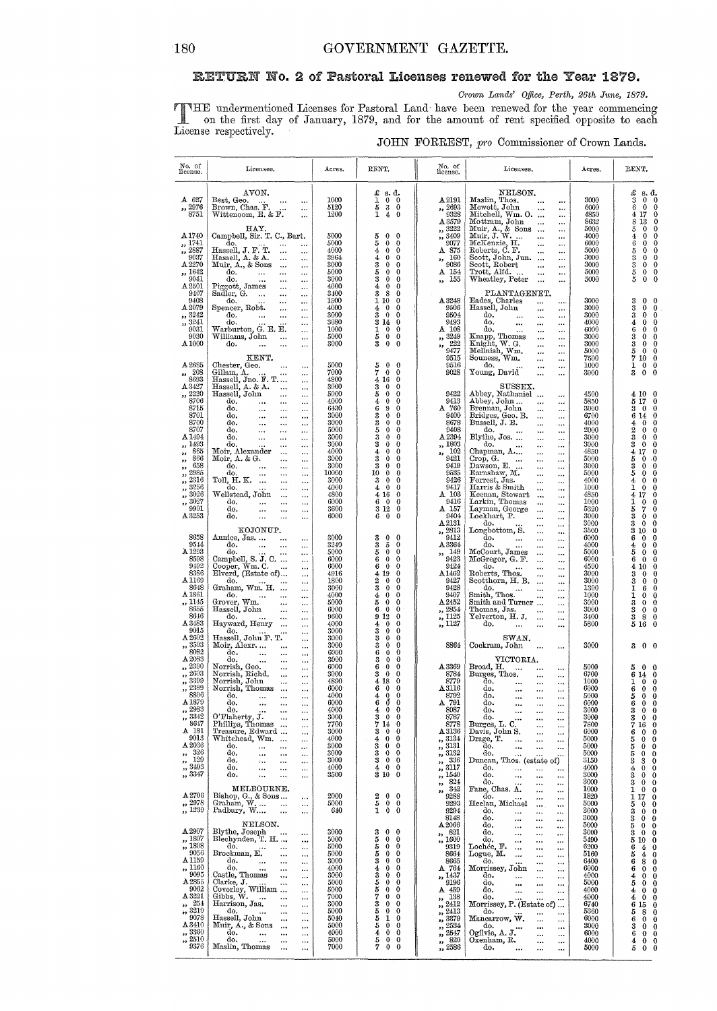## RETURN No. 2 of Pastoral Licenses renewed for the Year 1879.

Crown Lands' Office, Perth, 26th June, 1879.

THE undermentioned Licenses for Pastoral Land have been renewed for the year commencing<br>on the first day of January, 1879, and for the amount of rent specified opposite to each<br>License respectively.

## JOHN FORREST, pro Commissioner of Crown Lands.

| No. of<br>license.                                                                                                                                                                                                                    | Licensee.                                                                                                                                                                                                                                                                                                                                                                                                                                                                                                                                                                                                                                                                                                    | Acres.                                                                                                                               | RENT.                                                                                                                                                                                                                                                                                                                                        | No. of<br>license.                                                                                                                                                                                                                                          | Licensee.                                                                                                                                                                                                                                                                                                                                                                                                                                                                                                                      | Acres.                                                                                                                                       | RENT.                                                                                                                                                                                                                                                                                                                                                                                                                                                          |
|---------------------------------------------------------------------------------------------------------------------------------------------------------------------------------------------------------------------------------------|--------------------------------------------------------------------------------------------------------------------------------------------------------------------------------------------------------------------------------------------------------------------------------------------------------------------------------------------------------------------------------------------------------------------------------------------------------------------------------------------------------------------------------------------------------------------------------------------------------------------------------------------------------------------------------------------------------------|--------------------------------------------------------------------------------------------------------------------------------------|----------------------------------------------------------------------------------------------------------------------------------------------------------------------------------------------------------------------------------------------------------------------------------------------------------------------------------------------|-------------------------------------------------------------------------------------------------------------------------------------------------------------------------------------------------------------------------------------------------------------|--------------------------------------------------------------------------------------------------------------------------------------------------------------------------------------------------------------------------------------------------------------------------------------------------------------------------------------------------------------------------------------------------------------------------------------------------------------------------------------------------------------------------------|----------------------------------------------------------------------------------------------------------------------------------------------|----------------------------------------------------------------------------------------------------------------------------------------------------------------------------------------------------------------------------------------------------------------------------------------------------------------------------------------------------------------------------------------------------------------------------------------------------------------|
| $A$ 627<br>,, 2976<br>8751                                                                                                                                                                                                            | AVON.<br>Best, Geo.<br>$\cdots$<br>$\cdots$<br>Brown, Chas. F.<br>$\cdots$<br>Wittenoom, E. & F.<br>$\ddotsc$                                                                                                                                                                                                                                                                                                                                                                                                                                                                                                                                                                                                | 1000<br>5120<br>1200                                                                                                                 | $\pounds$ s.d.<br>1<br>$\mathbf 0$<br>$\mathbf{0}$<br>$\bf 3$<br>5<br>0<br>1<br>$\overline{4}$<br>$\bf{0}$                                                                                                                                                                                                                                   | A 2191<br>,, 2693<br>9328<br>A 3579                                                                                                                                                                                                                         | NELSON.<br>Maslin, Thos.<br>Mewett, John<br>Mitchell, Wm. O.<br>$\cdots$<br><br><br>Mottram, John<br>$\ddotsc$<br>                                                                                                                                                                                                                                                                                                                                                                                                             | 3000<br>6000<br>4850<br>8632                                                                                                                 | £<br>s. d.<br>3<br>$\bf{0}$<br>0<br>6<br>$\theta$<br>0<br>4<br>17<br>0<br>8<br>13<br>0<br>$\mathbf 0$                                                                                                                                                                                                                                                                                                                                                          |
| A 1740<br>,, 1741<br>, 2887<br>9037<br>A 2270<br>,, 1642<br>9041<br>A2501                                                                                                                                                             | HAY.<br>Campbell, Sir. T. C., Bart.<br>do.<br>$\ddotsc$<br>Hassell, J. F. T.<br>Hassell, A. & A.<br>$\cdots$<br>$\ddotsc$<br>$\ddotsc$<br>$\ldots$<br>Muir, A., & Sons<br>$\ddotsc$<br>$\ddotsc$<br>do.<br>$\cdots$<br>$\ddotsc$<br>$\ddotsc$<br>do.<br>$\cdots$<br>$\cdots$<br>$\ddotsc$<br>Piggott, James<br>$\cdots$<br>                                                                                                                                                                                                                                                                                                                                                                                  | 5000<br>5000<br>4000<br>3964<br>3000<br>5000<br>3000<br>4000                                                                         | 0<br>5<br>$\mathbf{0}$<br>5<br>0<br>0<br>0<br>0<br>4<br>4<br>0<br>0<br>3<br>0<br>0<br>$\mathbf 0$<br>5<br>0<br>3<br>0<br>0<br>0<br>4<br>0                                                                                                                                                                                                    | ,, 3222<br>,, 3409<br>9077<br>A 875<br>160<br>$, \,$<br>9086<br>A 154<br>155<br>ss.                                                                                                                                                                         | Muir, A., & Sons<br>Muir, J. W.<br>$\cdots$<br><br>McKenzie, H.<br>Roberts, C. F.<br>$\ddotsc$<br>$\cdots$<br>$\ddotsc$<br><br>Neott, John, Jun.<br>Scott, Robert<br>Trott, Alfd.<br>Wheatley, Peter<br><br>$\cdots$<br><br>                                                                                                                                                                                                                                                                                                   | 5000<br>4000<br>6000<br>5000<br>3000<br>3000<br>5000<br>5000                                                                                 | 5<br>0<br>$\overline{4}$<br>0<br>0<br>6<br>0<br>0<br>5<br>0<br>0<br>3<br>$\bf{0}$<br>0<br>3<br>0<br>0<br>$\frac{5}{5}$<br>0<br>0<br>0<br>0                                                                                                                                                                                                                                                                                                                     |
| 9407<br>9408<br>A.2079<br>,, 3242<br>,, 3241<br>9031<br>9030<br>A <sub>1000</sub>                                                                                                                                                     | Sadler, G.<br>$\cdots$<br>$\cdots$<br>$\ddotsc$<br>do.<br>$\cdots$<br>$\ddotsc$<br>Spencer, Robt.<br>$\cdots$<br>$\cdots$<br>do.<br>$\ddotsc$<br>$\cdots$<br>$\cdots$<br>do.<br>$\cdots$<br>Warburton, G. E. E.<br>$\ldots$<br>Williams, John<br>$\ddotsc$<br>$\ddotsc$<br>do.<br>$\cdots$<br>$\cdots$<br>$\ddotsc$<br>KENT.                                                                                                                                                                                                                                                                                                                                                                                 | 3400<br>1500<br>4000<br>3000<br>3680<br>1000<br>5000<br>3000                                                                         | 8<br>3<br>0<br>1<br>10<br>0<br>0<br>$\bf{0}$<br>4<br>$\boldsymbol{0}$<br>3<br>0<br>314<br>0<br>0<br>0<br>ı<br>5<br>$\bf{0}$<br>$\bf{0}$<br>3<br>$\bf{0}$<br>0                                                                                                                                                                                | A 3248<br>9506<br>9504<br>9493<br>$A$ 108<br>,, 3249<br>222<br>$\mathbf{r}$<br>9477<br>9515                                                                                                                                                                 | PLANTAGENET.<br>Eades, Charles<br><br><br>Hassell, John<br><br>$\cdots$<br>do.<br>$\cdots$<br>$\cdots$<br>$\cdots$<br>do.<br><br>$\cdots$<br><br>do.<br>$\ddotsc$<br><br><br>Knapp, Thomas<br>Knight, W. G.<br>Mellnish, Wm.<br>Souness, Wm.<br>$\cdots$<br>$\cdots$<br><br>$\cdots$<br>$\ddotsc$<br>$\cdots$<br><br>$\cdots$                                                                                                                                                                                                  | 3000<br>3000<br>3000<br>4000<br>6000<br>3000<br>3000<br>5000<br>7500                                                                         | 3<br>$\mathbf 0$<br>0<br>š<br>$\bf{0}$<br>0<br>3<br>0<br>0<br>4<br>0<br>0<br>6<br>$\mathbf 0$<br>0<br>3<br>0<br>0<br>3<br>0<br>0<br>5<br>0<br>0<br>7<br>10<br>0                                                                                                                                                                                                                                                                                                |
| A 2685<br>208<br>,,<br>8693<br>A 3427<br>2220<br>,,<br>8706<br>8715<br>8701                                                                                                                                                           | Chester, Geo.<br>$\cdots$<br>$\ldots$<br>Gillam, A.<br>Hassell, Jno. F. T<br>Hassell, A. & A.<br>Hassell, John<br>$\cdots$<br>$\cdots$<br>$\ldots$<br>$\cdots$<br>do.<br>$\cdots$<br>$\ddotsc$<br>$\ddotsc$<br>do,<br>$\cdots$<br>$\cdots$<br>$\cdots$<br>do,<br>$\cdots$<br>$\ddotsc$<br>$\ddotsc$                                                                                                                                                                                                                                                                                                                                                                                                          | 5000<br>7000<br>4800<br>3000<br>5000<br>4000<br>6430<br>3000                                                                         | $\mathbf 0$<br>0<br>5<br>7<br>$\mathbf 0$<br>0<br>16<br>0<br>4<br>3<br>$\bf{0}$<br>0<br>$\bf{0}$<br>5<br>0<br>$\bf{0}$<br>4<br>0<br>6<br>9<br>0<br>$\bf{0}$<br>3<br>0                                                                                                                                                                        | 9516<br>9028<br>9422<br>9413<br>A 760<br>9400                                                                                                                                                                                                               | do.<br>$\ddotsc$<br>$\cdots$<br>Young, David<br><br>$\cdots$<br>SUSSEX.<br>Abbey, Nathaniel<br>Abbey, John<br>$\ddotsc$<br>$\cdots$<br>Brennan, John<br>$\ddotsc$<br>$\cdots$<br>Bridges, Geo. B.<br>Bussell, J. E.<br>$\cdots$<br>$\ddotsc$                                                                                                                                                                                                                                                                                   | 1000<br>3000<br>4500<br>5850<br>3000<br>6700                                                                                                 | 1<br>0<br>0<br>$\overline{\mathbf{3}}$<br>$\mathbf 0$<br>$\bf{0}$<br>4 10<br>0<br>5 17<br>0<br>$\ddot{\mathbf{0}}$<br>3<br>0<br>6<br>14<br>0                                                                                                                                                                                                                                                                                                                   |
| 8700<br>8707<br>A 1494<br>,, 1493<br>865<br>,,<br>866<br>,,<br>658<br>,,<br>2985<br>à,<br>2316<br>,,<br>3256<br>,,<br>3026<br>33<br>3027<br>,,<br>9901<br>A3253                                                                       | do.<br>$\ddotsc$<br>$\ddotsc$<br>$\ldots$<br>do.<br>$\ddotsc$<br>$\cdots$<br>$\cdots$<br>do.<br>$\ddotsc$<br>$\cdots$<br>$\ddotsc$<br>do.<br>$\cdots$<br><br>Moir, Alexander<br>$\cdots$<br>$\cdots$<br>Moir, A. & G.<br>$\ddotsc$<br>$\cdots$<br>do.<br>$\ddotsc$<br>$\cdots$<br>do.<br>$\ddotsc$<br>$\ddotsc$<br>$\ddotsc$<br>Toll, H. K.<br>$\ddotsc$<br>$\cdots$<br>do.<br>$\cdots$<br>$\ddotsc$<br>Wellstead, John<br>$\cdots$<br>$\ddotsc$<br>do.<br>$\ddotsc$<br><br>$\cdots$<br>đo.<br>$\ddotsc$<br><br>$\ddotsc$<br>do.<br>$\cdots$<br>$\cdots$<br>$\ddotsc$                                                                                                                                        | 3000<br>5000<br>3000<br>3000<br>4000<br>3000<br>3000<br>10000<br>3000<br>4000<br>4800<br>6000<br>3600<br>6000                        | 3<br>0<br>0<br>5<br>0<br>0<br>3<br>$\theta$<br>0<br>3<br>$\bf{0}$<br>0<br>0<br>4<br>0<br>0<br>3<br>0<br>3<br>$\bf{0}$<br>0<br>10<br>$\bf{0}$<br>0<br>3<br>$\mathbf 0$<br>0<br>$\mathbf 0$<br>4<br>0<br>4 16<br>0<br>6<br>$\theta$<br>0<br>3 1 2<br>0<br>$\ddot{\mathbf{0}}$<br>6<br>0                                                        | 8678<br>9408<br>A 2394<br>,, 1803<br>102<br>,,<br>9421<br>9419<br>9535<br>9426<br>9417<br>$A$ 103<br>9416<br>A 157<br>9404<br>$\Delta\,2131$                                                                                                                | <br>$\cdots$<br>do.<br><br>$\ldots$<br>Blythe, Jos.<br><br><br>do.<br><br>$\ddotsc$<br>Chapman, A<br><br>$\ldots$<br>Crop, G.<br>Crop, G. $\dots$<br>Dawson, E. $\dots$<br><br>$\cdots$<br><br>$\cdots$<br>Earnshaw, M.<br><br><br>Forrest, Jas.<br>Harris & Smith<br><br><br><br>$\ddotsc$<br>Keenan, Stewart<br>$\ddotsc$<br><br>Larkin, Thomas<br>Layman, George<br>Lockhart, P.<br>$\ddotsc$<br><br>$\ddotsc$<br><br><br><br>do.<br><br>                                                                                   | 4000<br>2000<br>3000<br>3000<br>4850<br>5000<br>3000<br>5000<br>4000<br>1000<br>4850<br>1000<br>5320<br>3000<br>3000                         | 0<br>4<br>0<br>2<br>$\bf{0}$<br>0<br>3<br>$\bf{0}$<br>0<br>3<br>$\bf{0}$<br>0<br>17<br>4<br>0<br>$\bf{0}$<br>5<br>۰٥<br>$\theta$<br>3<br>0<br>5<br>0<br>0<br>$\mathbf{0}$<br>4<br>0<br>$\bf{0}$<br>1<br>0<br>17<br>4<br>0<br>ı<br>0<br>0<br>$\frac{7}{0}$<br>5<br>0<br>3<br>0<br>$\bf{0}$<br>3<br>0                                                                                                                                                            |
| 8658<br>9544<br>A <sub>1293</sub><br>8598<br>9492<br>8386<br>A1169<br>8648<br>A 1861<br>,, 1145<br>8655<br>8646<br>A 3483<br>9015                                                                                                     | KOJONUP.<br>Annice, Jas<br>$\ddotsc$<br>$\cdots$<br>do.<br>$\ddotsc$<br>$\ddotsc$<br>$\ddots$<br>do.<br>$\cdots$<br>Campbell, S. J. C.<br>$\ddotsc$<br>Cooper, Wm. C.<br>Elverd, (Estate of)<br>$\ddotsc$<br>$\cdots$<br>do.<br>$\ddotsc$<br>Graham, Wm. H.<br>$\ddotsc$<br>do.<br>$\ddotsc$<br>$\ddotsc$<br>Grover, Wm.<br>$\ddotsc$<br>$\cdots$<br>Hassell, John<br>$\ddotsc$<br>$\ddotsc$<br>do.<br>$\cdots$<br>$\ddotsc$<br>$\cdots$<br>Hayward, Henry<br>$\cdots$<br>do.<br>$\cdots$                                                                                                                                                                                                                    | 3000<br>3240<br>5000<br>6000<br>6000<br>4916<br>1800<br>3000<br>4000<br>5000<br>6000<br>9600<br>4000<br>3000                         | 3<br>$\bf{0}$<br>$\theta$<br>3<br>5<br>0<br>$\bf{0}$<br>0<br>5<br>6<br>$\bf{0}$<br>0<br>6<br>$\bf{0}$<br>0<br>19<br>0<br>4<br>2<br>$\bf{0}$<br>0<br>3<br>$\mathbf 0$<br>0<br>$\mathbf 0$<br>0<br>4<br>5<br>$\bf{0}$<br>0<br>$\bf{0}$<br>6<br>0<br>9 1 2<br>0<br>$\mathbf 0$<br>0<br>4<br>3<br>0<br>0                                         | ,, 2813<br>9412<br>A 3364<br>,, 149<br>9423<br>9424<br>$\Delta 1462$<br>9427<br>9428<br>9407<br>A 2452<br>2854<br>,,<br>, 1125<br>,, 1127                                                                                                                   | Longbottom, S.<br><br>$\ddotsc$<br>do.<br>$\cdots$<br>$\cdots$<br><br>do.<br>$\cdots$<br><br>$\ddotsc$<br>McCourt, James<br>$\ddotsc$<br><br>McGregor, G. F.<br>$\cdots$<br>$\ddotsc$<br>do.<br>$\ddotsc$<br><br><br>Roberts, Thos.<br><br><br>Scotthorn, H. B.<br>$\cdots$<br>$\cdots$<br>do.<br>$\lim_{\text{Smilb}}$ Thos.<br>$\ddotsc$<br><br>$\cdots$<br>$\cdots$<br>Smith and Turner<br>$\cdots$<br>Thomas, Jas.<br>$\cdots$<br>$\ldots$<br>Yelverton, H. J.<br>$\ddotsc$<br>$\cdots$<br>do.<br>$\cdots$<br><br>$\cdots$ | 3500<br>6000<br>4000<br>5000<br>6000<br>4500<br>3000<br>3000<br>1300<br>1000<br>3000<br>3000<br>3400<br>5800                                 | 10<br>3<br>$\bf{0}$<br>6<br>$\mathbf 0$<br>0<br>$\bf{0}$<br>4<br>0<br>5<br>$\bf{0}$<br>0<br>6<br>$\bf{0}$<br>0<br>4<br>10<br>0<br>3<br>0<br>0<br>3<br>$\bf{0}$<br>0<br>1<br>6<br>0<br>1<br>0<br>$\mathbf 0$<br>3<br>$\bf{0}$<br>0<br>3<br>$\mathbf 0$<br>0<br>3<br>8<br>$\bf{0}$<br>5<br>16<br>$\bf{0}$                                                                                                                                                        |
| $\Delta\,2602$<br>,, 3503<br>8082                                                                                                                                                                                                     | Hassell, John F. T.<br>$\cdots$<br>Moir, Alexr<br>$\cdots$<br>$\ddotsc$<br>do.<br>$\ddotsc$<br>$\ddot{\phantom{a}}$<br>$\ddotsc$                                                                                                                                                                                                                                                                                                                                                                                                                                                                                                                                                                             | 3000<br>3000<br>6000                                                                                                                 | 3<br>$\bf{0}$<br>0<br>3<br>0<br>0<br>6<br>0<br>0                                                                                                                                                                                                                                                                                             | 8864                                                                                                                                                                                                                                                        | $_{\rm SWAN.}$<br>Cockram, John<br>$\ddotsc$<br>$\cdots$                                                                                                                                                                                                                                                                                                                                                                                                                                                                       | 3000                                                                                                                                         | 3<br>0 <sub>0</sub>                                                                                                                                                                                                                                                                                                                                                                                                                                            |
| A 2083<br>2390<br>55<br>2603<br>$\overline{\mathbf{r}}$<br>,, 3399<br>,, 2389<br>8806<br>A 1879<br>,, 2983<br>,, 3342<br>8647<br>A 181<br>9013<br>A 2036<br>326<br>$\bullet\,\bullet$<br>129<br>,,<br>$\frac{1}{2}$ , 3403<br>,, 3347 | do.<br>$\cdots$<br>$\ddotsc$<br>Norrish, Geo.<br>Norrish, Richd.<br>$\ddotsc$<br>$\ddotsc$<br>$\ddot{\phantom{0}}$<br>$\ddotsc$<br>Norrish, John<br>Norrish, Thomas<br>$\ddotsc$<br>$\cdots$<br>$\ddotsc$<br>$\ddotsc$<br>do.<br><br>$\ddotsc$<br>do.<br>$\ddotsc$<br>$\ddotsc$<br><br>do.<br>$\ddotsc$<br>$\cdots$<br>O'Flaherty, J.<br>Phillips, Thomas<br>$\ddotsc$<br><br>$\cdots$<br>$\ddotsc$<br>Treasure, Edward<br>$\cdots$<br>Whitehead, Wm.<br>$\cdots$<br>$\ddotsc$<br>do.<br>$\cdots$<br>$\cdots$<br>$\ldots$<br>do.<br>$\cdots$<br>$\cdots$<br>$\cdots$<br>do.<br>$\ddotsc$<br>$\ddotsc$<br>$\ddotsc$<br>do,<br>$\cdots$<br>$\ddotsc$<br>$\cdots$<br>do.<br>$\ddotsc$<br>$\ddotsc$<br>$\ddotsc$ | 3000<br>6000<br>3000<br>4890<br>6000<br>4000<br>6000<br>4000<br>3000<br>7700<br>3000<br>4000<br>3000<br>3000<br>3000<br>4000<br>3500 | 3<br>$\bf{0}$<br>0<br>6<br>$\bf{0}$<br>0<br>3<br>$\bf{0}$<br>0<br>4 18<br>0<br>6<br>$\bf{0}$<br>0<br>$\frac{0}{0}$<br>$\bf{0}$<br>4<br>6<br>0<br>$\bf{0}$<br>4<br>0<br>3<br>$\bf{0}$<br>0<br>7<br>14<br>0<br>3<br>0<br>0<br>4<br>$\bf{0}$<br>0<br>$\bf{0}$<br>0<br>3<br>0<br>0<br>3<br>$\bf{0}$<br>3<br>0<br>$\bf{0}$<br>4<br>0<br>3 10<br>0 | A 3369<br>8784<br>8779<br>$A\,3116$<br>8792<br>A 791<br>8087<br>8787<br>8778<br>A 3136<br>,, 3134<br>3131<br>$\mathbf{y}$<br>3132<br>$\mathbf{r}$<br>336<br>$\bullet$<br>3117<br>$\boldsymbol{\mathfrak{z}}$<br>1540<br>$\mathbf{5}\mathbf{3}$<br>824<br>,, | VICTORIA.<br>Broad, H.<br>$\ddotsc$<br>Burges, Thos.<br><br>$\ddotsc$<br>do.<br>$\cdots$<br>$\cdots$<br>$\ddotsc$<br>do.<br>$\ddotsc$<br>do.<br><br><br>do.<br><br><br>do.<br>$\ddotsc$<br><br><br>do.<br><br><br>Burges, L. C.<br><br><br>Davis, John S.<br><br><br>Drage, T.<br><br><br>$\cdots$<br>do.<br><br><br><br>do.<br>$\cdots$<br>$\ddotsc$<br>Duncan, Thos. (estate of)<br>do.<br>$\ddotsc$<br><br><br>do.<br><br><br><br>do.<br>$\ddotsc$<br>                                                                      | 5000<br>6700<br>1000<br>6000<br>5000<br>6000<br>3000<br>3000<br>7800<br>6000<br>5000<br>5000<br>5000<br>3150<br>4000<br>3000<br>3000         | 5<br>$0\quad 0$<br>6<br>14<br>$\bf{0}$<br>1<br>$\bf{0}$<br>$\bf{0}$<br>$\bf{0}$<br>6<br>$\theta$<br>5<br>0<br>$\bf{0}$<br>$\bf{0}$<br>6<br>$\bf{0}$<br>$\bf{0}$<br>3<br>0<br>$\bf{0}$<br>3<br>$\bf{0}$<br>7<br>16<br>$\bf{0}$<br>6<br>$\mathbf 0$<br>$\mathbf 0$<br>5<br>0<br>0<br>5<br>0<br>$\bf{0}$<br>$\bf{0}$<br>5<br>$\mathbf 0$<br>3<br>3<br>$\mathbf 0$<br>$\mathbf 0$<br>0<br>4<br>$\mathbf 0$<br>3<br>0<br>$\mathbf 0$<br>3<br>$\bf{0}$               |
| A 2706<br>$, \frac{2978}{1239}$                                                                                                                                                                                                       | MELBOURNE.<br>Bishop, G., & Sons<br>Graham, W<br>$\ddot{\phantom{a}}$<br>$\ddotsc$<br>Padbury, W<br>$\ddotsc$<br>$\cdots$                                                                                                                                                                                                                                                                                                                                                                                                                                                                                                                                                                                    | 2000<br>5000<br>640                                                                                                                  | $\bf{0}$<br>0<br>2<br>5<br>0<br>0<br>0<br>1<br>$\bf{0}$                                                                                                                                                                                                                                                                                      | 342<br>$\bullet$<br>9288<br>9293<br>9294<br>8148                                                                                                                                                                                                            | Fane, Chas. A.<br>$\cdots$<br>$\cdots$<br>do.<br><br><br>Heelan, Michael<br><br><br>do.<br><br><br>$\ddotsc$<br>do.<br><br>$\cdots$<br>$\cdots$                                                                                                                                                                                                                                                                                                                                                                                | 1000<br>1820<br>5000<br>3000<br>3000                                                                                                         | 1<br>0<br>$\bf{0}$<br>1<br>17<br>$\mathbf 0$<br>5<br>0<br>$\bf{0}$<br>3<br>$\bf{0}$<br>$\bf{0}$<br>3<br>0<br>$\bf{0}$                                                                                                                                                                                                                                                                                                                                          |
| A 2907<br>,, 1807<br>,, 1808<br>9056<br>A 1159<br>,, 1160<br>9095<br>A 2855<br>9062<br>A 3221<br>-254<br>$\mathbf{y}_2$<br>", 3219<br>9078<br>A 3410<br>,, 3360<br>,, 2510<br>9376                                                    | NELSON.<br>Blythe, Joseph<br>$\ddotsc$<br>$\cdots$<br>Blechynden, T. H<br>$\ddotsc$<br>do.<br>$\ddotsc$<br>$\ddotsc$<br>Brockman, E.<br><br>$\cdots$<br>do.<br>$\cdots$<br>$\ddotsc$<br><br>do.<br>$\ddotsc$<br>$\ddotsc$<br>$\ddotsc$<br>Castle, Thomas<br>v.<br>$\cdots$<br>Clarke, J.<br>$\ddotsc$<br>$\cdots$<br>Coverley, William<br>Gibbs, W.<br>$\cdots$<br>$\ddotsc$<br>Harrison, Jas.<br>$\ddotsc$<br>$\cdots$<br>do.<br>$\ddotsc$<br>$\cdots$<br>$\cdots$<br>Hassell, John<br>$\cdots$<br>$\cdots$<br>Muir, A., & Sons<br>$\ddotsc$<br><br>do.<br>$\cdots$<br>$\ddotsc$<br>$\cdots$<br>do.<br>$\ddot{\phantom{a}}$<br><br>$\cdots$<br>Maslin, Thomas<br>$\ddotsc$<br>$\ddotsc$                     | 3000<br>5000<br>5000<br>5000<br>3000<br>4000<br>3000<br>5000<br>5000<br>7000<br>3000<br>5000<br>5040<br>5000<br>4000<br>5000<br>7000 | 3<br>0<br>$\bf{0}$<br>5<br>0<br>0<br>0<br>5<br>0<br>5<br>0<br>0<br>0<br>0<br>3<br>4<br>0<br>0<br>0<br>3<br>0<br>5<br>$\bf{0}$<br>0<br>0<br>5<br>0<br>7<br>0<br>0<br>3<br>0<br>0<br>$\bf{0}$<br>0<br>5<br>1<br>5<br>0<br>0<br>5<br>0<br>0<br>4<br>0<br>5<br>0<br>$\mathbf 0$<br>7<br>$\bf{0}$<br>0                                            | A 2066<br>821<br>,,<br>1600<br>$\bullet$<br>9319<br>8664<br>8665<br>A 764<br>,, 1437<br>9196<br>A 459<br>138<br>$\bullet$<br>$\frac{3}{2412}$<br>,, 2413<br>3379<br>$\bullet$<br>,, 2534<br>2547<br>$\bullet$<br>820<br>,,<br>, 2586                        | do.<br><br>$\cdots$<br>$\cdots$<br>do.<br><br>$\cdots$<br>$\cdots$<br>do.<br><br>$\cdots$<br>$\ddotsc$<br>Lochée, F.<br><br><br><br>Logue, M.<br><br><br>$\ddotsc$<br>do.<br><br>$\ddotsc$<br>Morrissey, John<br><br>$\ddotsc$<br>do.<br><br><br><br>do.<br><br><br><br>do.<br>$\ddotsc$<br><br><br>do.<br><br>Morrissey, P. (Estate of)<br>do.<br><br>Mancarrow, W.<br><br>$\cdots$<br>do.<br><br>$\cdots$<br>Ogilvie, A. J.<br><br>$\ddotsc$<br>Oxenham, R.<br><br>$\cdots$<br>do.<br><br>                                   | 5000<br>3000<br>5490<br>6200<br>5160<br>6400<br>6000<br>4000<br>5000<br>4000<br>4000<br>6740<br>5360<br>6000<br>3000<br>6000<br>4000<br>5000 | 5<br>$\bf{0}$<br>$\bf{0}$<br>3<br>-0<br>$\mathbf 0$<br>5<br>10<br>$\bf{0}$<br>6<br>4<br>$\bf{0}$<br>5<br>4<br>$\Omega$<br>8<br>6<br>$\bf{o}$<br>$\bf{0}$<br>6<br>$^{\circ}$<br>$\mathbf 0$<br>4<br>$\theta$<br>5<br>$\bf{0}$<br>0<br>4<br>$\bf{0}$<br>$\theta$<br>$\bf{0}$<br>4<br>$\mathbf 0$<br>15<br>6<br>$\bf{0}$<br>8<br>5<br>$\Omega$<br>6<br>0<br>$\theta$<br>3<br>0<br>$\boldsymbol{0}$<br>6<br>0<br>$\theta$<br>4<br>0<br>0<br>5<br>$\mathbf{0}$<br>0 |

J.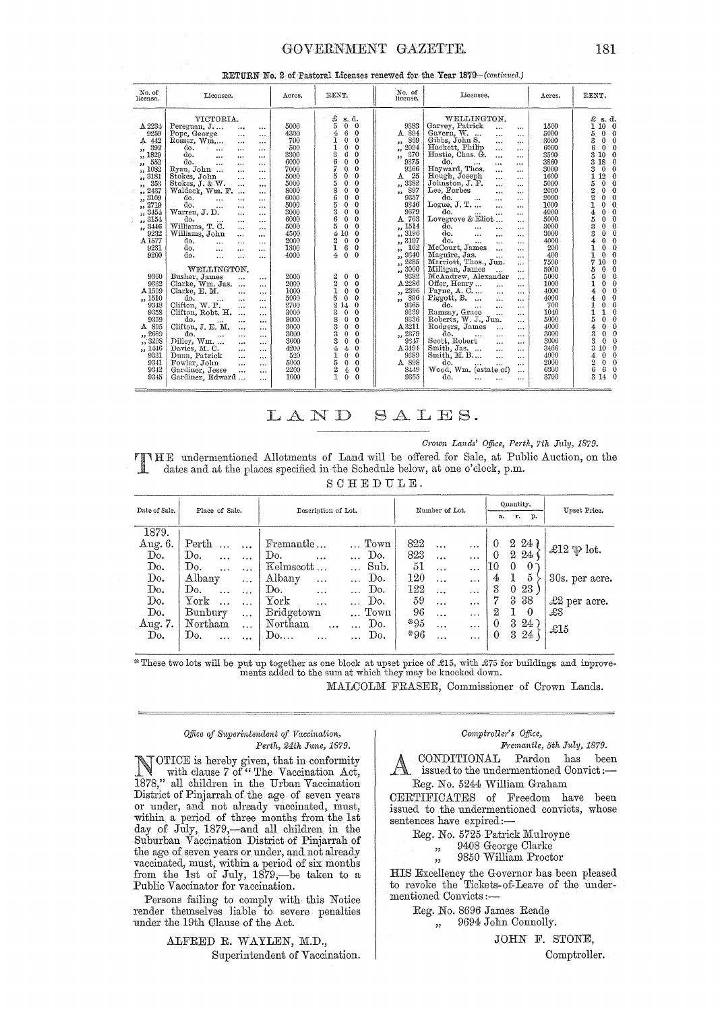## GOVERNMENT GAZETTE.

|  |  | RETURN No. 2 of Pastoral Licenses renewed for the Year 1879-(continued.) |  |  |
|--|--|--------------------------------------------------------------------------|--|--|
|  |  |                                                                          |  |  |

| No. of<br>license.                                                                                                                                                                                                                       | Licensee.                                                                                                                                                                                                                                                                                                                                                                                                                                                                                                                                                                                                                                                                                                                   | Acres.                                                                                                                                             | RENT.                                                                                                                                                                                                                                                                                                                                                                                                                                                                                                                          | No. of<br>license.                                                                                                                                                                                               | Licensee.                                                                                                                                                                                                                                                                                                                                                                                                                                                                                                                                                                                                                                                                                                                                          | Acres.                                                                                                                                             | RENT.                                                                                                                                                                                                                                                                                                                                                                                                                                                                                               |
|------------------------------------------------------------------------------------------------------------------------------------------------------------------------------------------------------------------------------------------|-----------------------------------------------------------------------------------------------------------------------------------------------------------------------------------------------------------------------------------------------------------------------------------------------------------------------------------------------------------------------------------------------------------------------------------------------------------------------------------------------------------------------------------------------------------------------------------------------------------------------------------------------------------------------------------------------------------------------------|----------------------------------------------------------------------------------------------------------------------------------------------------|--------------------------------------------------------------------------------------------------------------------------------------------------------------------------------------------------------------------------------------------------------------------------------------------------------------------------------------------------------------------------------------------------------------------------------------------------------------------------------------------------------------------------------|------------------------------------------------------------------------------------------------------------------------------------------------------------------------------------------------------------------|----------------------------------------------------------------------------------------------------------------------------------------------------------------------------------------------------------------------------------------------------------------------------------------------------------------------------------------------------------------------------------------------------------------------------------------------------------------------------------------------------------------------------------------------------------------------------------------------------------------------------------------------------------------------------------------------------------------------------------------------------|----------------------------------------------------------------------------------------------------------------------------------------------------|-----------------------------------------------------------------------------------------------------------------------------------------------------------------------------------------------------------------------------------------------------------------------------------------------------------------------------------------------------------------------------------------------------------------------------------------------------------------------------------------------------|
| A 2234<br>9259<br>442<br>A<br>392<br>,,<br>,, 1829<br>552<br>,,<br>1082<br>$\mathbf{r}$<br>,, 3181<br>353<br>$\overline{\mathbf{z}}$<br>,, 2437<br>, 3109<br>2719<br>11<br>, 3454<br>, 3154<br>,, 3446<br>9232<br>A 1577<br>9231<br>9200 | VICTORIA.<br>Pereguan, J<br>$\cdots$<br>$\cdots$<br>Pope, George<br>$\cdots$<br>$\cdots$<br>Rosser, Wm<br>$\cdots$<br>$\cdots$<br>do.<br>$\cdots$<br>$\cdots$<br><br>do.<br>$\cdots$<br><br><br>d٥.<br>$\cdots$<br>$\cdots$<br><br>Ryan, John<br>$\cdots$<br>$\cdots$<br>Stokes, John<br>$\cdots$<br><br>Stokes, J. & W.<br>$\cdots$<br>$\cdots$<br>Waldeck, Wm. F.<br>$\cdots$<br>$\cdots$<br>do.<br>$\cdots$<br><br><br>do.<br>$\cdots$<br>$\cdots$<br><br>Warren, J. D.<br>$\cdots$<br>$\cdots$<br>do.<br>$\cdots$<br>$\cdots$<br><br>Williams, T. C.<br>$\cdots$<br><br>Williams, John<br>$\cdots$<br>$\cdots$<br>do.<br>$\cdots$<br><br><br>do.<br>$\cdots$<br>$\cdots$<br>$\cdots$<br>do.<br><br>$\cdots$<br>$\cdots$ | 5000<br>4300<br>700<br>500<br>3300<br>6000<br>7000<br>5000<br>5000<br>8000<br>6000<br>5000<br>3000<br>6000<br>5000<br>4500<br>2000<br>1300<br>4000 | $\frac{6}{5}$<br>s. d.<br>$\mathbf{0}$<br>$\Omega$<br>6<br>4<br>$\Omega$<br>1<br>0<br>$\Omega$<br>1<br>$\Omega$<br>0<br>3<br>6<br>$\Omega$<br>6<br>$\Omega$<br>$\theta$<br>7<br>$\mathbf{0}$<br>$\bf{0}$<br>5<br>$\Omega$<br>0<br>5<br>$\theta$<br>0<br>8<br>$\Omega$<br>$\Omega$<br>6<br>$\bf{0}$<br>$\Omega$<br>5<br>0<br>$\Omega$<br>3<br>$\Omega$<br>0<br>6<br>0<br>$\theta$<br>5<br>$\mathbf{0}$<br>$\Omega$<br>410<br>$\overline{0}$<br>2<br>$\mathbf{0}$<br>$\theta$<br>6<br>1<br>$\theta$<br>4<br>$\Omega$<br>$\theta$ | 9383<br>A 894<br>869<br>,,<br>2094<br>,,<br>370<br>33.<br>9375<br>9366<br>25<br>А<br>,, 3382<br>897<br>$\mathbf{a}$<br>9357<br>9346<br>9679<br>A 763<br>1514<br>,,<br>,, 3196<br>,, 3197<br>162<br>,,<br>,, 9340 | WELLINGTON.<br>Garvey, Patrick<br>$\cdots$<br>$\cdots$<br>Gavern, W.<br>$\cdots$<br>$\cdots$<br>Gibbs, John S.<br><br><br>Hackett, Philip<br>$\ddotsc$<br>$\cdots$<br>Hastie, Chas. G.<br>$\cdots$<br>$\cdots$<br>do.<br>$\cdots$<br><br>Hayward, Thos.<br>$\cdots$<br>$\cdots$<br>Hough, Joseph<br><br>$\cdots$<br>Johnston, J. F.<br>$\cdots$<br>$\cdots$<br>Lee, Forbes<br><br>$\cdots$<br>do.<br><br>$\cdots$<br>$\cdots$<br>Logue, J. T.<br>$\cdots$<br>$\cdots$<br>do.<br>$\cdots$<br>$\cdots$<br>Lovegrove & Eliot<br>$\cdots$<br>do.<br>$\cdots$<br>$\cdots$<br>$\cdots$<br>do.<br>$\cdots$<br>$\cdots$<br>$\cdots$<br>do.<br>$\cdots$<br><br>$\ddotsc$<br>McCourt, James<br>$\cdots$<br>$\cdots$<br>Maguire, Jas.<br>$\cdots$<br>$\cdots$ | 1500<br>5000<br>3000<br>6000<br>3500<br>3860<br>3000<br>1600<br>5000<br>2000<br>2000<br>1000<br>4000<br>5000<br>3000<br>3000<br>4000<br>200<br>400 | £<br>s. d.<br>1<br>100<br>5<br>0.0<br>3<br>0<br>$\Omega$<br>6<br>$\mathbf{0}^{\cdot}$<br>$\Omega$<br>3.<br>10<br>$\Omega$<br>3 18<br>0<br>3<br>$\bf{0}$<br>$\mathbf 0$<br>12<br>1<br>$\theta$<br>0<br>5<br>$\theta$<br>$\overline{2}$<br>$\mathbf{0}$<br>$\Omega$<br>$\overline{2}$<br>$\theta$<br>0<br>$\Omega$<br>1<br>0<br>$0 \cdot 0$<br>4<br>5<br>$\mathbf{0}$<br>$\Omega$<br>3<br>$\Omega$<br>$\mathbf{0}$<br>3<br>$\theta$<br>0<br>$\mathbf 0$<br>0<br>$\theta$<br>$\Omega$<br>0<br>$\theta$ |
| 9360<br>9332<br>A <sub>1509</sub><br>,, 1510<br>9348<br>9358<br>9359<br>895<br>А<br>,, 2689<br>,, 3208<br>1446<br>$\ddot{\phantom{1}}$<br>9331<br>9341<br>9342<br>9345                                                                   | WELLINGTON.<br>Busher, James<br>$\cdots$<br>$\cdots$<br>Clarke, Wm. Jas.<br>$\cdots$<br>Clarke, E. M.<br>$\cdots$<br>$\cdots$<br>do.<br>$\cdots$<br>$\cdots$<br>Clifton, W. P.<br>$\cdots$<br>$\cdots$<br>Clifton, Robt. H.<br>$\cdots$<br>$\cdots$<br>ർം.<br>$\cdots$<br><br>Clifton, J. E. M.<br>$\cdots$<br><br>do.<br>$\cdots$<br>$\cdots$<br>$\cdots$<br>Dilley, Wm.<br>$\cdots$<br>$\cdots$<br>Davies, M. C.<br>$\ddotsc$<br>$\cdots$<br>Dunn, Patrick<br>$\cdots$<br>$\cdots$<br>Fowler, John<br>$\cdots$<br>$\cdots$<br>Gardiner, Jesse<br>$\cdots$<br>$\cdots$<br>Gardiner, Edward<br>$\cdots$                                                                                                                     | 2000<br>2000<br>1000<br>5000<br>2700<br>3000<br>8000<br>3000<br>3000<br>3000<br>4200<br>520<br>5000<br>2200<br>1000                                | 2<br>0<br>$\Omega$<br>$\overline{2}$<br>$\mathbf{0}$<br>$\theta$<br>1<br>$\mathbf 0$<br>0<br>5<br>$\Omega$<br>$\mathbf 0$<br>$\overline{2}$<br>$\theta$<br>14<br>8.<br>$\theta$<br>$\Omega$<br>8<br>$\theta$<br>$\Omega$<br>3<br>$\theta$<br>$\theta$<br>3<br>$\theta$<br>$\Omega$<br>3<br>$\Omega$<br>$\Omega$<br>4<br>4<br>$\Omega$<br>1<br>$\bf{0}$<br>$\theta$<br>5<br>$\mathbf{0}$<br>$\Omega$<br>$\frac{2}{1}$<br>$\boldsymbol{4}$<br>$\theta$<br>$\Omega$<br>$\Omega$                                                   | $\frac{1}{11}$ , 2285<br>, 3000<br>9382<br>A 2286<br>,, 2396<br>$\frac{1}{22}$ 896<br>9365<br>9339<br>9336<br>A 3211<br>,, 2379<br>9347<br>A 3191<br>9689<br>A 898<br>8449<br>9355                               | Marriott, Thos., Jun.<br>$\cdots$<br>Milligan, James<br>$\ddotsc$<br>$\cdots$<br>McAndrew, Alexander<br>$\cdots$<br>Offer, Henry<br>$\cdots$<br>$\cdots$<br>Payne, A. C<br>$\cdots$<br>$\cdots$<br>Piggott, B.<br>$\ddotsc$<br>$\cdots$<br>do.<br>$\cdots$<br>$\cdots$<br>$\cdots$<br>Ramsay, Grace<br>$\ddotsc$<br>$\cdots$<br>Roberts, W. J., Jun.<br><br>Rodgers, James<br>$\cdots$<br>$\cdots$<br>āо.<br>$\cdots$<br>$\cdots$<br>Scott, Robert<br>$\cdots$<br>$\cdots$<br>Smith, Jas.<br>$\cdots$<br><br>Smith, M.B<br>$\ddotsc$<br>$\cdots$<br>do.<br>$\cdots$<br><br>Wood, Wm. (estate of)<br>$\cdots$<br>do.<br>$\cdots$<br>$\cdots$                                                                                                        | 7500<br>5000<br>5000<br>1000<br>4000<br>4000<br>700<br>1040<br>5000<br>4000<br>3000<br>3000<br>3466<br>4000<br>2000<br>6300<br>3700                | 7<br>10<br>$\theta$<br>0.0<br>5<br>5<br>$\mathbf{0}$<br>$\Omega$<br>1<br>0<br>$\Omega$<br>$\theta$<br>$\theta$<br>4<br>$\mathbf 0$<br>0<br>0<br>$\theta$<br>1<br>$\Omega$<br>1<br>5<br>$\Omega$<br>$\theta$<br>$\Omega$<br>0<br>4<br>3<br>$\theta$<br>$\mathbf 0$<br>3<br>$\Omega$<br>$\mathbf{0}$<br>3<br>$\theta$<br>10<br>$\mathbf{0}$<br>$\theta$<br>4<br>2<br>0<br>$\theta$<br>6<br>6<br>$\mathbf{0}$<br>3<br>14 0                                                                             |

## LAND SALES.

Crown Lands' Office, Perth, 7th July, 1879.

VIRE undermentioned Allotments of Land will be offered for Sale, at Public Auction, on the dates and at the places specified in the Schedule below, at one o'clock, p.m. SCHEDULE.

| Date of Sale. | Place of Sale.               |           | Description of Lot. |                 |       | Number of Lot. |           | а.       | Quantity.<br>r. | p.              | Upset Price.            |
|---------------|------------------------------|-----------|---------------------|-----------------|-------|----------------|-----------|----------|-----------------|-----------------|-------------------------|
| 1879.         |                              |           |                     |                 |       |                |           |          |                 |                 |                         |
| Aug. 6.       | Perth                        | $\cdots$  | Fremantle           | $\ldots$ Town   | 822   | $\ddotsc$      | $\ddotsc$ | 0        |                 | $2\;24$         |                         |
| Do.           | Do.                          | $\ddotsc$ | Do.<br>$\ddotsc$    | Do.             | 823   | $\cdots$       | $\ddotsc$ | $\theta$ | $^{2}$          | 24 <sub>1</sub> | £12 $\mathfrak{P}$ lot. |
| Do.           | Do.<br>$\ddotsc$             | $\cdots$  | Kelmscott           | Sub.            | 51    | $\cdots$       | $\cdots$  | 10       | $\theta$        | $\theta$        |                         |
| Do.           | Albany                       | $\cdots$  | Albany<br>$\cdots$  | Do.<br>$\cdots$ | 120   | $\cdots$       | $\cdots$  | 4        |                 | $\frac{5}{2}$   | 30s. per acre.          |
| Do.           | Do.<br>$\dddot{\phantom{0}}$ | $\ddotsc$ | Do.<br>$\cdots$     | Do.             | 122   | $\ddotsc$      | $\cdots$  | 3        | $\overline{0}$  | 23              |                         |
| Do.           | ${\rm York}$                 | $\ddots$  | York<br>$\ddotsc$   | Do.             | 59    | $\ddots$       | $\cdots$  | 7        |                 | 3 3 8           | $\pounds2$ per acre.    |
| Do.           | Bunbury                      | $\ddotsc$ | <b>Bridgetown</b>   | Town            | 96    | $\ddotsc$      | $\cdots$  | 2        |                 | $\theta$        | £3                      |
| Aug. 7.       | Northam                      | $\ddotsc$ | Northam<br>$\cdots$ | Do.<br>$\cdots$ | $*95$ | $\dddotsc$     | $\cdots$  | $\theta$ | $\mathcal{S}$   | 24              | £15                     |
| Do.           | Do.<br>$\ddotsc$             |           | Do<br>$\ddotsc$     | Do.             | *96   |                |           | $\theta$ |                 | 3 24            |                         |
|               |                              |           |                     |                 |       |                |           |          |                 |                 |                         |

 $*$  These two lots will be put up together as one block at upset price of £15, with £75 for buildings and inprovements added to the sum at which they may be knocked down.

MALCOLM FRASER, Commissioner of Crown Lands.

### Office of Superintendent of Vaccination, Perth, 24th June, 1879.

OTICE is hereby given, that in conformity<br>with clause 7 of "The Vaccination Act, 1878," all children in the Urban Vaccination District of Pinjarrah of the age of seven years or under, and not already vaccinated, must, within a period of three months from the 1st day of July, 1879,-and all children in the Suburban Vaccination District of Pinjarrah of the age of seven years or under, and not already vaccinated, must, within a period of six months<br>from the 1st of July, 1879,—be taken to a<br>Public Vaccinator for vaccination.

Persons failing to comply with this Notice render themselves liable to severe penalties under the 19th Clause of the Act.

> ALFRED R. WAYLEN, M.D., Superintendent of Vaccination.

## Comptroller's Office,

Fremantle, 5th July, 1879.

CONDITIONAL Pardon has been issued to the undermentioned Convict:-Reg. No. 5244 William Graham

CERTIFICATES of Freedom have been issued to the undermentioned convicts, whose sentences have expired:-

Reg. No. 5725 Patrick Mulroyne

- 9408 George Clarke  $\mathbf{r}$
- 9850 William Proctor  $, 2, 3$

HIS Excellency the Governor has been pleased to revoke the Tickets-of-Leave of the undermentioned Convicts:-

Reg. No. 8696 James Reade

9694 John Connolly.  $,$ 

JOHN F. STONE,

Comptroller.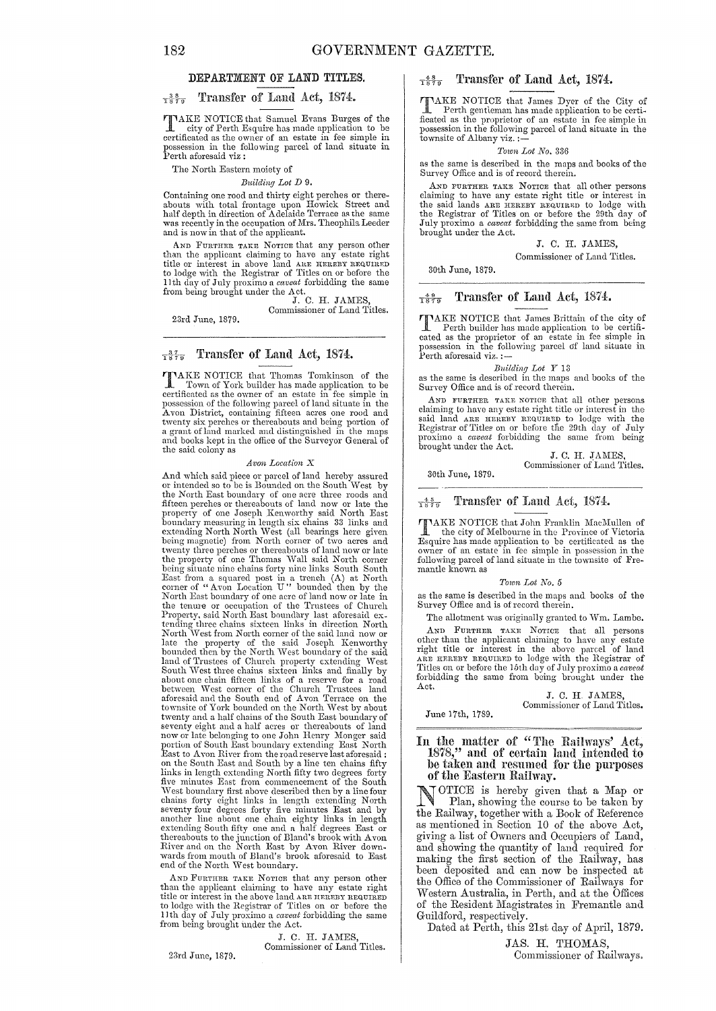### DEPARTMENT OF LAND TITLES.

#### Transfer of Land Act, 1874:.  $T_{879}^{3.8}$

TAKE NOTICE that Samuel Evans Burges of the city of Perth Esquire has made application to be certificated as the owner of an estate in fee simple in possession in the following parcel of land situate in Perth aforesaid viz:

The North Eastern moiety of

*Building Lot D 9.* 

Containing one rood and thirty eight perches or thereabouts with total frontage upon Howick Street and half depth in direction of Adelaide Terrace as the same was recently in the occupation of Mrs. Theophila Leeder and is now in that of the applicant.

AND FURTHER TAKE NOTICE that any person other than the applicant claiming to have any estate right title or interest in above land AIE HEREBY REQUIRED to lodge with the Registrar of Titles on or before the 11th day of July proximo a *caveat* forbidding the same from being brought lmder the Act. J. C. H. J AMES,

Commissioner of Land Titles.

23rd June, 1879.

## $\frac{37}{1879}$  Transfer of Land Act, 1874.

TAKE NOTICE that Thomas Tomkinson of the Town of Vork builder have a problem Town of York builder has made application to be certificated as the owner of an estate in fee simple in possession of the following parcel of land situate in the Avon District, containing fifteen acres one rood and twenty six perches or thereabouts and being portion of a grant of land marked and distinguished in the maps and books kept in the office of the Surveyor General of the said colony as

### *Avon Location* X

And which said piece or parcel of land hereby assured or intended so to be is Bounded on the South West by the North East boundary of one acre three roods and<br>fifteen perches or thereabouts of land now or late the<br>property of one Joseph Kenworthy said North East<br>boundary measuring in length six chains 33 links and<br>extending Nor East from a squared post in a trench (A) at North Corner of "Avon Location U" bounded then by the North East boundary of one acre of land now or late in the tenure or occupation of the Trustees of Church Property, said North East boundary last aforesaid ex-<br>tending three chains sixteen links in direction North<br>North West from North corner of the said land now or late the property of the said Joseph Kenworthy<br>bounded then by the North West boundary of the said<br>land of Trustees of Church property extending West<br>South West three chains sixteen links and finally by about one chain fifteen links of a reserve for a road between West corner of tho Church Trustees land aforesaid and the South end of Avon Terrace on the townsite of York bounded on the North \Vest by about twenty and a half chains of the South East boundary of<br>seventy eight and a half acres or thereabouts of land<br>now or late belonging to one John Henry Monger said<br>portion of South East boundary extending East North<br>East to A links in length extending North fifty two degrees forty five minutes East from commencement of the South West boundary first above described then by a line four<br>chains forty eight links in length extending North<br>seventy four degrees forty five minutes East and by<br>another line about one chain eighty links in length<br>extending S

AND FURTHER TAKE NOTICE that any person other than the applicant claiming to have any estate right title or interest in the above land ARE HEREBY REQUIRED to lodge with the Registrar of Titles on or before the 11 th day of July proximo a *caveat* forbidding the same from being brought under the Act.

J. C. H. JAMES Commissioner of Land Titles.

23rd June, 1879.

## $\frac{48}{1879}$  Transfer of Land Act, 1874.

TAKE NOTICE that James Dyer of the City of Perth gentieman has made application to be certificated as the proprietor of an estate in fee simple in possession in the following parcel of land situate in the townsite of Albany viz. ;-

### *Town Lot No. 336*

as the same is describecl in the maps and books of the Survey Office and is of record therein.

AND PURTHER TARE NOTICE that all other persons claiming to have any estate right title or interest in the said lands ARE with<br>the said lands ARE HEREBY REQUIRED to lodge with<br>the Registrar of Titles on or before the 29th day of<br>July proximo a *caveat* forbidding the sa brought under the Act.

### J. C. H. JAMES,

Commissioner of Land Titles.

30th June, 1879.

### $\frac{49}{1879}$  Transfer of Land Act, 1874.

TAKE NOTICE that James Brittain of the city of Perth builder has made application to be certificated as the proprietor of an estate in fee simple in ossession in the following parcel of land situate in possession =<br>Perth aforesaid viz. :-

*Building Lot Y* 13<br>as the same is described in the maps and books of the Survey Office and is of record therein.

AND FURTHER TAKB NOTICE that all other persons claiming to have any estate right title or interest in the said land ARB HBRBY REQUIRED to lodge with the Registrar of Titles on or before the 29th day of July proximo a *caveat* forbidding the same from being brought under the Act.

J. C. H. JAMES,

30th June, 1879.

Commissioner of Land Titles.

### $\frac{45}{1879}$

 $\frac{4.5}{1879}$  Transfer of Land Act, 1874.<br>TAKE NOTICE that John Franklin MacMullen of TAKE NOTICE that John Franklin MacMullen of<br>
the city of Melbourne in the Province of Victoria<br>
Esquire has made application to be certificated as the<br>
owner of an estate in fee simple in possession in the<br>
following parce mantle known as

### *Town Lot No. 5*

as the same is described in the maps and books of the Survey Office and is of record therein.

The allotment was originally granted to Wm. Lambe. AND FURTHER TAKE NOTICE that all persons other than the applicant claiming to have any estate<br>right title or interest in the above parcel of land<br>ARE HEREEN REQUIRED to lodge with the Registrar of<br>Titles on or before the 15th day of July proximo a *caveat*<br>forbid Act.

June 17th, 1789. J. C. H. JAMES, Commissioner of Land Titles.

In the matter of "'l'he Rail ways' Act, 1878," and of certain land intemled to be taken and resumed for the purposes<br>of the Eastern Railway.

OTICE is hereby given that a Map or Plan, showing the eourse to be taken by the Railway, together with a Book of Reference as mentioned in Section 10 of the above Act, giving a list of Owners and Occupiers of Land, and showing the quantity of land required for making the first section of the Railway, has been deposited and can now be inspected at the Office of the Commissioner of Railways for Western Australia, in Perth, and at the Offices of the Resident Magistrates in Fremantle and Guildford, respectively.

Dated at Perth, this 21st day of April, 1879.

JAS. H. THOMAS, Commissioner of Railways.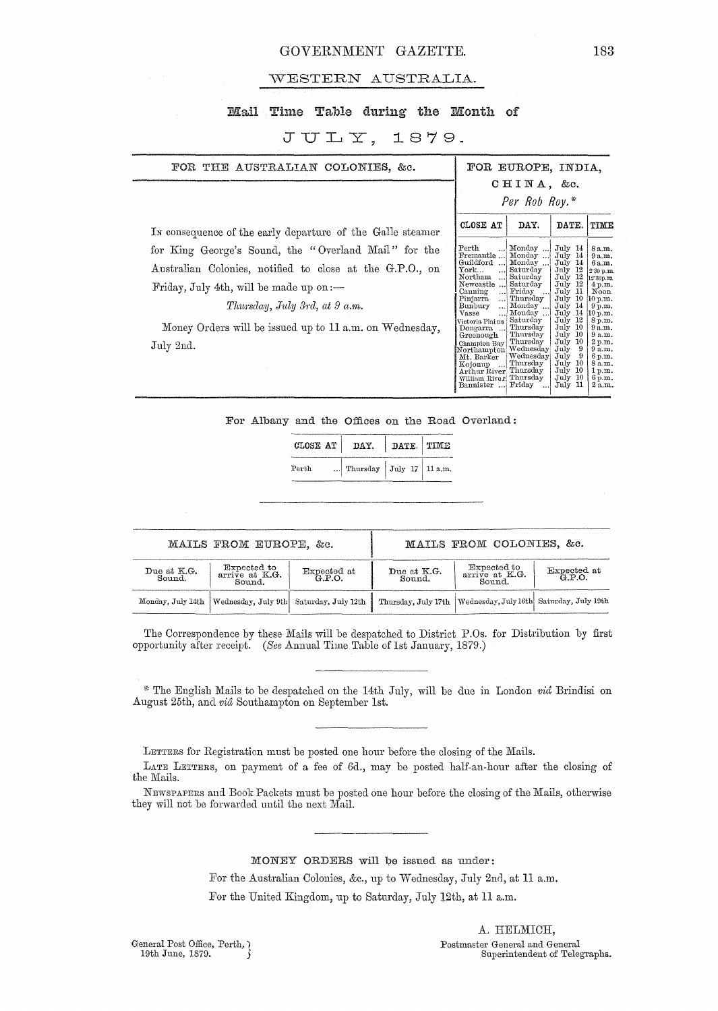## GOVERNMENT GAZETTE. 183

## WESTERN AUSTRALIA.

## Mail Time Table during the Month of

## $JULY, 1879.$

| FOR THE AUSTRALIAN COLONIES, &c.                                                                                                                                                                                                                                          | FOR EUROPE, INDIA.                                                                                                                                                                                                                                                                                                                                                                                                                                                                                                                                                                                                                                                                                                                                                                                                                                                                                                                                                    |
|---------------------------------------------------------------------------------------------------------------------------------------------------------------------------------------------------------------------------------------------------------------------------|-----------------------------------------------------------------------------------------------------------------------------------------------------------------------------------------------------------------------------------------------------------------------------------------------------------------------------------------------------------------------------------------------------------------------------------------------------------------------------------------------------------------------------------------------------------------------------------------------------------------------------------------------------------------------------------------------------------------------------------------------------------------------------------------------------------------------------------------------------------------------------------------------------------------------------------------------------------------------|
|                                                                                                                                                                                                                                                                           | CHINA, &c.                                                                                                                                                                                                                                                                                                                                                                                                                                                                                                                                                                                                                                                                                                                                                                                                                                                                                                                                                            |
|                                                                                                                                                                                                                                                                           | Per Rob Roy.*                                                                                                                                                                                                                                                                                                                                                                                                                                                                                                                                                                                                                                                                                                                                                                                                                                                                                                                                                         |
| In consequence of the early departure of the Galle steamer                                                                                                                                                                                                                | CLOSE AT<br>DAY.<br>DATE.<br>TIME                                                                                                                                                                                                                                                                                                                                                                                                                                                                                                                                                                                                                                                                                                                                                                                                                                                                                                                                     |
| for King George's Sound, the "Overland Mail" for the<br>Australian Colonies, notified to close at the G.P.O., on<br>Friday, July 4th, will be made up on $:$ $-$<br>Thursday, July 3rd, at 9 a.m.<br>Money Orders will be issued up to 11 a.m. on Wednesday,<br>July 2nd. | Perth<br>Monday<br>July 14<br>8 a.m.<br>Fremantle  Monday<br>July 14<br>9a.m.<br>Guildford<br>Monday<br>July 14<br>6a.m.<br>${\tt York}$<br>Saturday<br>July 12<br>2.30 p.m.<br>Northam<br>Saturday<br>July 12<br>12'30p.m<br>Newcastle  Saturday<br>July 12<br>4 p.m.<br>Canning<br>Friday<br>$\rm{July}$ 11<br>Noon<br>$\ldots$<br>10<br>Pinjarra<br>Thursday<br>July<br>10 p.m.<br>Bunbury<br>Monday<br>July 14<br>9 p.m.<br><br>July 14<br>Vasse<br>Monday<br>10 p.m.<br>اءء<br>Victoria Plains   Saturday<br>$\rm{July}$ 12<br>8 p.m.<br>Dongarra  Thursday<br>July 10<br>9a.m.<br>  Thursday<br>July 10<br>9a.m.<br>Greenough<br>Champion Bay Thursday<br>-10<br>July<br>2 p.m.<br>Northampton Wednesday<br>July<br>9<br>9a.m.<br>$ $ Wednesday<br>July<br>6 p.m.<br>Mt. Barker<br>Kojonup  Thursday<br>July 10<br>8 a.m.<br>Arthur River Thursday<br>July 10<br>1p.m.<br>William River Thursday<br>July 10<br>6 p.m.<br>Bannister  Friday<br>July 11<br>2 a.m. |

For Albany and the Offices on the Road Overland:

| CLOSE AT   DAY. |                          | DATE. TIME |  |
|-----------------|--------------------------|------------|--|
| $_{\rm{Perth}}$ | Thursday July 17 11 a.m. |            |  |

| MAILS FROM EUROPE, &c. |                                                               |                       | MAILS FROM COLONIES. &c. |                                                                  |                    |
|------------------------|---------------------------------------------------------------|-----------------------|--------------------------|------------------------------------------------------------------|--------------------|
| Due at K.G.<br>Sound.  | Expected to<br>arrive at K.G.<br>Sound.                       | Expected at<br>G.P.O. | Due at K.G.<br>Sound.    | Expected to<br>$arri\bar{v}e$ at $K.G.$<br>Sound.                | Expected at G.P.O. |
|                        | Monday, July 14th   Wednesday, July 9th   Saturday, July 12th |                       |                          | Thursday, July 17th   Wednesday, July 16th   Saturday, July 19th |                    |

The Correspondence by these Mails will be despatched to District P.Os. for Distribution by first opportunity after receipt. *(See Annual Time Table of 1st January, 1879.)* 

~, The English Mails to be despatched on the 14th July, will be due In London *via* Brindisi on August 25th, and *via* Southampton on September 1st.

LETTERS for Registration must be posted one hour before the closing of the Mails.

LATE LETTERS, on payment of a fee of 6d., may be posted half-an-hour after the closing of the Mails.

NEWSPAPERS and Book Packets must be posted one hour before the closing of the Mails, otherwise they will not be forwarded until the next Mail.

MONEY ORDERS will be issued as under:

For the Australian Colonies, &c., up to Wednesday, July 2nd, at 11 a.m.

For the United Kingdom, up to Saturday, July 12th, at 11 a.m.